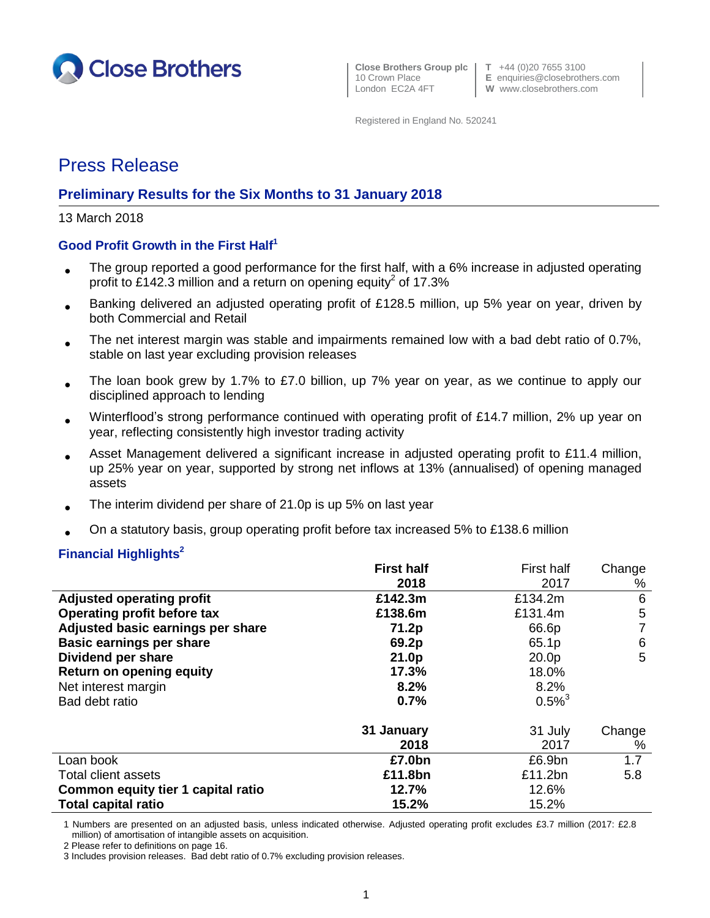

**Close Brothers Group plc T** +44 (0)20 7655 3100

10 Crown Place **E** enquiries@closebrothers.com<br>
London EC2A 4FT **W** www.closebrothers.com W www.closebrothers.com

Registered in England No. 520241

# Press Release

## **Preliminary Results for the Six Months to 31 January 2018**

13 March 2018

## **Good Profit Growth in the First Half<sup>1</sup>**

- The group reported a good performance for the first half, with a 6% increase in adjusted operating profit to £142.3 million and a return on opening equity<sup>2</sup> of 17.3%
- Banking delivered an adjusted operating profit of £128.5 million, up 5% year on year, driven by both Commercial and Retail
- The net interest margin was stable and impairments remained low with a bad debt ratio of 0.7%, stable on last year excluding provision releases
- The loan book grew by 1.7% to £7.0 billion, up 7% year on year, as we continue to apply our disciplined approach to lending
- Winterflood's strong performance continued with operating profit of £14.7 million, 2% up year on year, reflecting consistently high investor trading activity
- Asset Management delivered a significant increase in adjusted operating profit to £11.4 million, up 25% year on year, supported by strong net inflows at 13% (annualised) of opening managed assets
- The interim dividend per share of 21.0p is up 5% on last year
- On a statutory basis, group operating profit before tax increased 5% to £138.6 million

#### **Financial Highlights<sup>2</sup>**

|                                    | <b>First half</b> | First half           | Change |
|------------------------------------|-------------------|----------------------|--------|
|                                    | 2018              | 2017                 | %      |
| <b>Adjusted operating profit</b>   | £142.3m           | £134.2m              | 6      |
| Operating profit before tax        | £138.6m           | £131.4m              | 5      |
| Adjusted basic earnings per share  | 71.2p             | 66.6p                | 7      |
| <b>Basic earnings per share</b>    | 69.2p             | 65.1p                | 6      |
| Dividend per share                 | 21.0p             | 20.0 <sub>p</sub>    | 5      |
| <b>Return on opening equity</b>    | 17.3%             | 18.0%                |        |
| Net interest margin                | 8.2%              | 8.2%                 |        |
| Bad debt ratio                     | 0.7%              | $0.5\%$ <sup>3</sup> |        |
|                                    | 31 January        | 31 July              | Change |
|                                    | 2018              | 2017                 | $\%$   |
| Loan book                          | £7.0bn            | £6.9bn               | 1.7    |
| <b>Total client assets</b>         | £11.8bn           | £11.2bn              | 5.8    |
| Common equity tier 1 capital ratio | 12.7%             | 12.6%                |        |
| <b>Total capital ratio</b>         | 15.2%             | 15.2%                |        |

1 Numbers are presented on an adjusted basis, unless indicated otherwise. Adjusted operating profit excludes £3.7 million (2017: £2.8 million) of amortisation of intangible assets on acquisition.

2 Please refer to definitions on page 16.

3 Includes provision releases. Bad debt ratio of 0.7% excluding provision releases.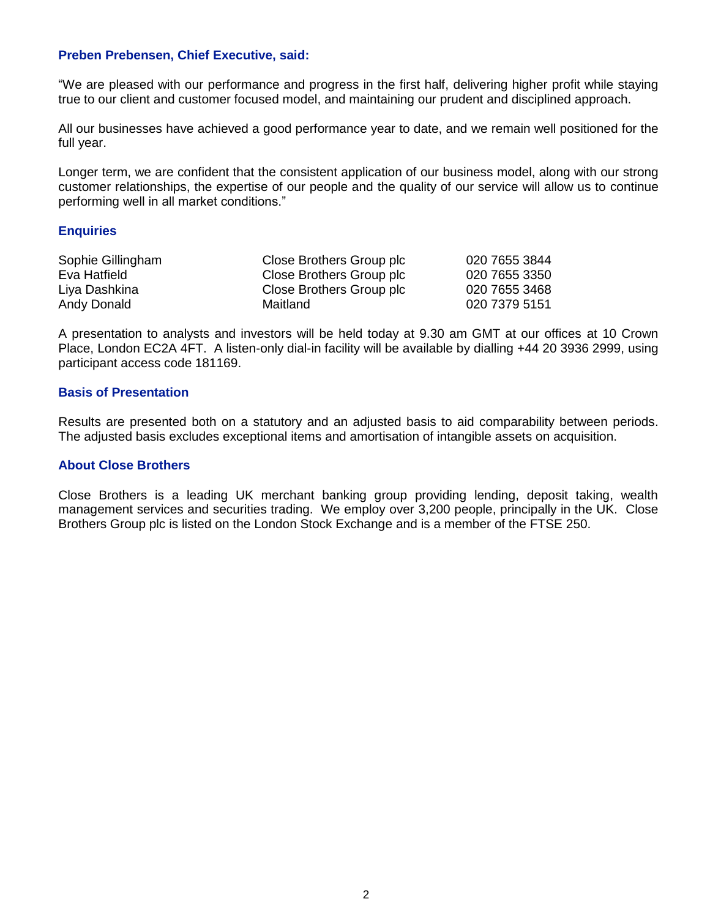### **Preben Prebensen, Chief Executive, said:**

"We are pleased with our performance and progress in the first half, delivering higher profit while staying true to our client and customer focused model, and maintaining our prudent and disciplined approach.

All our businesses have achieved a good performance year to date, and we remain well positioned for the full year.

Longer term, we are confident that the consistent application of our business model, along with our strong customer relationships, the expertise of our people and the quality of our service will allow us to continue performing well in all market conditions."

#### **Enquiries**

| Sophie Gillingham | Close Brothers Group plc | 020 7655 3844 |
|-------------------|--------------------------|---------------|
| Eva Hatfield      | Close Brothers Group plc | 020 7655 3350 |
| Liya Dashkina     | Close Brothers Group plc | 020 7655 3468 |
| Andy Donald       | Maitland                 | 020 7379 5151 |

A presentation to analysts and investors will be held today at 9.30 am GMT at our offices at 10 Crown Place, London EC2A 4FT. A listen-only dial-in facility will be available by dialling +44 20 3936 2999, using participant access code 181169.

#### **Basis of Presentation**

Results are presented both on a statutory and an adjusted basis to aid comparability between periods. The adjusted basis excludes exceptional items and amortisation of intangible assets on acquisition.

### **About Close Brothers**

Close Brothers is a leading UK merchant banking group providing lending, deposit taking, wealth management services and securities trading. We employ over 3,200 people, principally in the UK. Close Brothers Group plc is listed on the London Stock Exchange and is a member of the FTSE 250.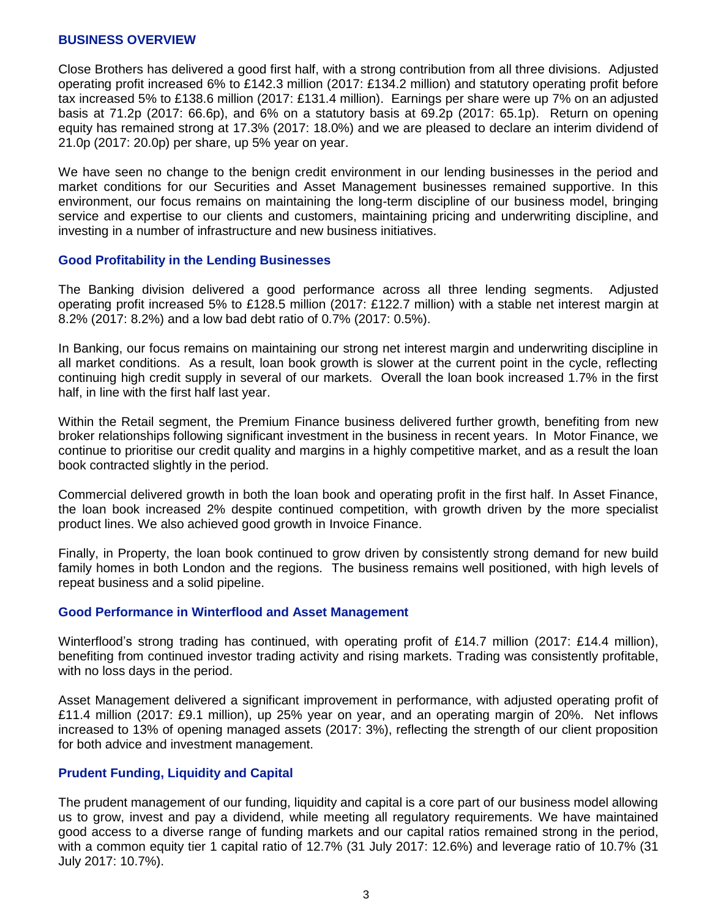#### **BUSINESS OVERVIEW**

Close Brothers has delivered a good first half, with a strong contribution from all three divisions. Adjusted operating profit increased 6% to £142.3 million (2017: £134.2 million) and statutory operating profit before tax increased 5% to £138.6 million (2017: £131.4 million). Earnings per share were up 7% on an adjusted basis at 71.2p (2017: 66.6p), and 6% on a statutory basis at 69.2p (2017: 65.1p). Return on opening equity has remained strong at 17.3% (2017: 18.0%) and we are pleased to declare an interim dividend of 21.0p (2017: 20.0p) per share, up 5% year on year.

We have seen no change to the benign credit environment in our lending businesses in the period and market conditions for our Securities and Asset Management businesses remained supportive. In this environment, our focus remains on maintaining the long-term discipline of our business model, bringing service and expertise to our clients and customers, maintaining pricing and underwriting discipline, and investing in a number of infrastructure and new business initiatives.

#### **Good Profitability in the Lending Businesses**

The Banking division delivered a good performance across all three lending segments. Adjusted operating profit increased 5% to £128.5 million (2017: £122.7 million) with a stable net interest margin at 8.2% (2017: 8.2%) and a low bad debt ratio of 0.7% (2017: 0.5%).

In Banking, our focus remains on maintaining our strong net interest margin and underwriting discipline in all market conditions. As a result, loan book growth is slower at the current point in the cycle, reflecting continuing high credit supply in several of our markets. Overall the loan book increased 1.7% in the first half, in line with the first half last year.

Within the Retail segment, the Premium Finance business delivered further growth, benefiting from new broker relationships following significant investment in the business in recent years. In Motor Finance, we continue to prioritise our credit quality and margins in a highly competitive market, and as a result the loan book contracted slightly in the period.

Commercial delivered growth in both the loan book and operating profit in the first half. In Asset Finance, the loan book increased 2% despite continued competition, with growth driven by the more specialist product lines. We also achieved good growth in Invoice Finance.

Finally, in Property, the loan book continued to grow driven by consistently strong demand for new build family homes in both London and the regions. The business remains well positioned, with high levels of repeat business and a solid pipeline.

#### **Good Performance in Winterflood and Asset Management**

Winterflood's strong trading has continued, with operating profit of £14.7 million (2017: £14.4 million), benefiting from continued investor trading activity and rising markets. Trading was consistently profitable, with no loss days in the period.

Asset Management delivered a significant improvement in performance, with adjusted operating profit of £11.4 million (2017: £9.1 million), up 25% year on year, and an operating margin of 20%. Net inflows increased to 13% of opening managed assets (2017: 3%), reflecting the strength of our client proposition for both advice and investment management.

#### **Prudent Funding, Liquidity and Capital**

The prudent management of our funding, liquidity and capital is a core part of our business model allowing us to grow, invest and pay a dividend, while meeting all regulatory requirements. We have maintained good access to a diverse range of funding markets and our capital ratios remained strong in the period, with a common equity tier 1 capital ratio of 12.7% (31 July 2017: 12.6%) and leverage ratio of 10.7% (31 July 2017: 10.7%).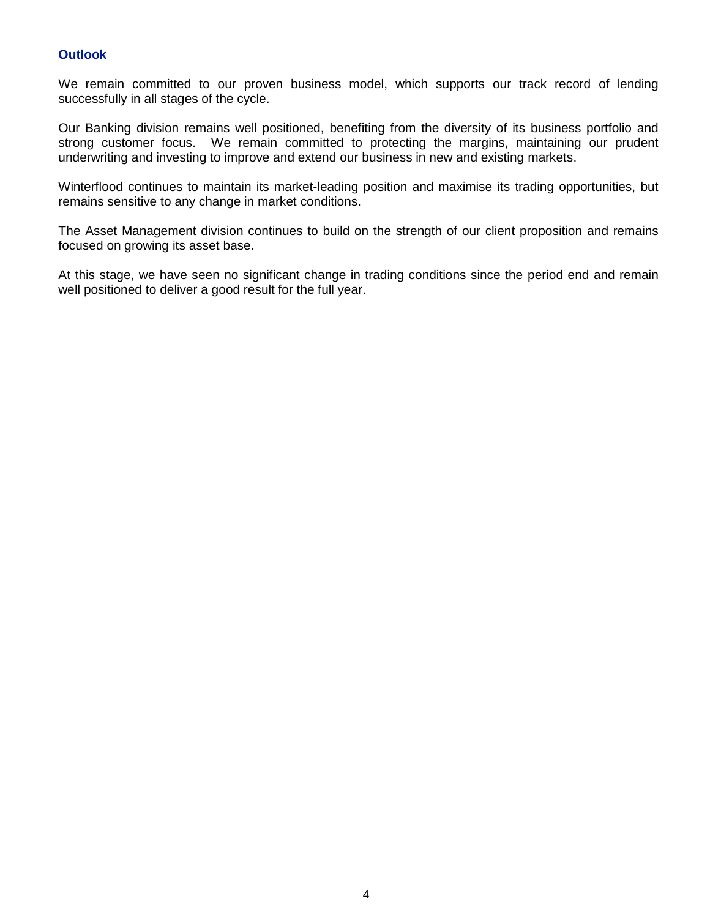## **Outlook**

We remain committed to our proven business model, which supports our track record of lending successfully in all stages of the cycle.

Our Banking division remains well positioned, benefiting from the diversity of its business portfolio and strong customer focus. We remain committed to protecting the margins, maintaining our prudent underwriting and investing to improve and extend our business in new and existing markets.

Winterflood continues to maintain its market-leading position and maximise its trading opportunities, but remains sensitive to any change in market conditions.

The Asset Management division continues to build on the strength of our client proposition and remains focused on growing its asset base.

At this stage, we have seen no significant change in trading conditions since the period end and remain well positioned to deliver a good result for the full year.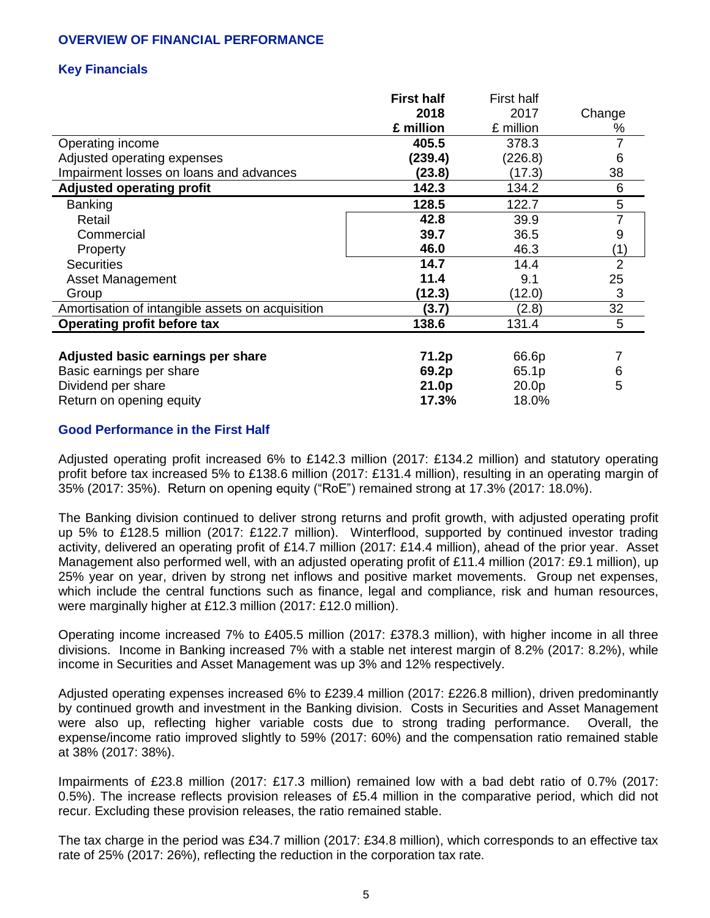## **OVERVIEW OF FINANCIAL PERFORMANCE**

## **Key Financials**

|                                                  | <b>First half</b> | First half |                |
|--------------------------------------------------|-------------------|------------|----------------|
|                                                  | 2018              | 2017       | Change         |
|                                                  | £ million         | £ million  | %              |
| Operating income                                 | 405.5             | 378.3      |                |
| Adjusted operating expenses                      | (239.4)           | (226.8)    | 6              |
| Impairment losses on loans and advances          | (23.8)            | (17.3)     | 38             |
| <b>Adjusted operating profit</b>                 | 142.3             | 134.2      | 6              |
| <b>Banking</b>                                   | 128.5             | 122.7      | 5              |
| Retail                                           | 42.8              | 39.9       |                |
| Commercial                                       | 39.7              | 36.5       | 9              |
| Property                                         | 46.0              | 46.3       | (1)            |
| <b>Securities</b>                                | 14.7              | 14.4       | $\overline{2}$ |
| <b>Asset Management</b>                          | 11.4              | 9.1        | 25             |
| Group                                            | (12.3)            | (12.0)     | 3              |
| Amortisation of intangible assets on acquisition | (3.7)             | (2.8)      | 32             |
| Operating profit before tax                      | 138.6             | 131.4      | 5              |
|                                                  |                   |            |                |
| Adjusted basic earnings per share                | 71.2p             | 66.6p      |                |
| Basic earnings per share                         | 69.2p             | 65.1p      | 6              |
| Dividend per share                               | 21.0p             | 20.0p      | 5              |
| Return on opening equity                         | 17.3%             | 18.0%      |                |

## **Good Performance in the First Half**

Adjusted operating profit increased 6% to £142.3 million (2017: £134.2 million) and statutory operating profit before tax increased 5% to £138.6 million (2017: £131.4 million), resulting in an operating margin of 35% (2017: 35%). Return on opening equity ("RoE") remained strong at 17.3% (2017: 18.0%).

The Banking division continued to deliver strong returns and profit growth, with adjusted operating profit up 5% to £128.5 million (2017: £122.7 million). Winterflood, supported by continued investor trading activity, delivered an operating profit of £14.7 million (2017: £14.4 million), ahead of the prior year. Asset Management also performed well, with an adjusted operating profit of £11.4 million (2017: £9.1 million), up 25% year on year, driven by strong net inflows and positive market movements. Group net expenses, which include the central functions such as finance, legal and compliance, risk and human resources, were marginally higher at £12.3 million (2017: £12.0 million).

Operating income increased 7% to £405.5 million (2017: £378.3 million), with higher income in all three divisions. Income in Banking increased 7% with a stable net interest margin of 8.2% (2017: 8.2%), while income in Securities and Asset Management was up 3% and 12% respectively.

Adjusted operating expenses increased 6% to £239.4 million (2017: £226.8 million), driven predominantly by continued growth and investment in the Banking division. Costs in Securities and Asset Management were also up, reflecting higher variable costs due to strong trading performance. Overall, the expense/income ratio improved slightly to 59% (2017: 60%) and the compensation ratio remained stable at 38% (2017: 38%).

Impairments of £23.8 million (2017: £17.3 million) remained low with a bad debt ratio of 0.7% (2017: 0.5%). The increase reflects provision releases of £5.4 million in the comparative period, which did not recur. Excluding these provision releases, the ratio remained stable.

The tax charge in the period was £34.7 million (2017: £34.8 million), which corresponds to an effective tax rate of 25% (2017: 26%), reflecting the reduction in the corporation tax rate.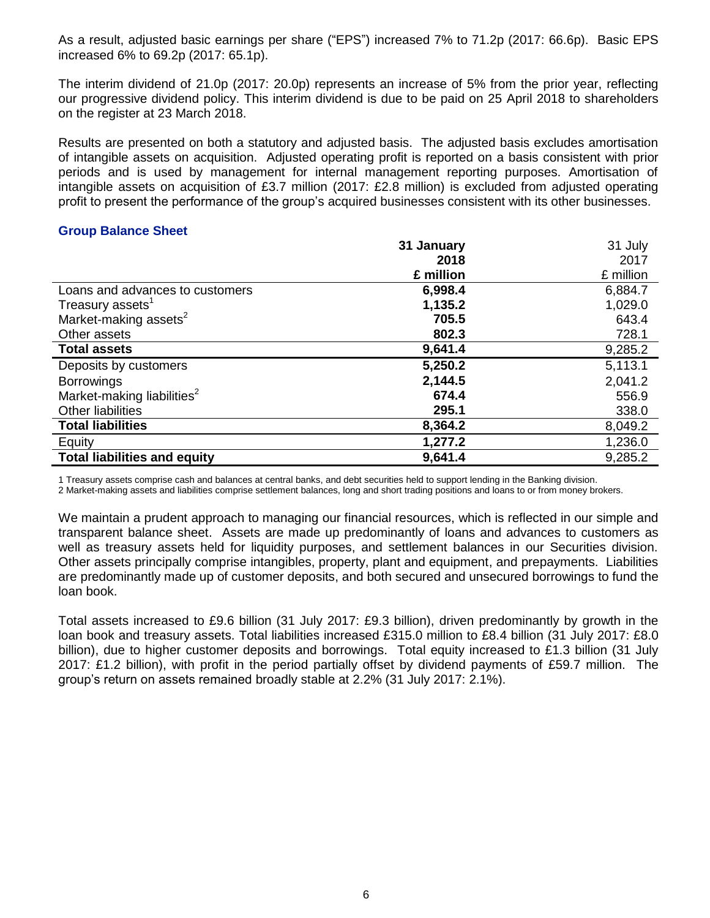As a result, adjusted basic earnings per share ("EPS") increased 7% to 71.2p (2017: 66.6p). Basic EPS increased 6% to 69.2p (2017: 65.1p).

The interim dividend of 21.0p (2017: 20.0p) represents an increase of 5% from the prior year, reflecting our progressive dividend policy. This interim dividend is due to be paid on 25 April 2018 to shareholders on the register at 23 March 2018.

Results are presented on both a statutory and adjusted basis. The adjusted basis excludes amortisation of intangible assets on acquisition. Adjusted operating profit is reported on a basis consistent with prior periods and is used by management for internal management reporting purposes. Amortisation of intangible assets on acquisition of £3.7 million (2017: £2.8 million) is excluded from adjusted operating profit to present the performance of the group's acquired businesses consistent with its other businesses.

#### **Group Balance Sheet**

|                                        | 31 January | 31 July   |
|----------------------------------------|------------|-----------|
|                                        | 2018       | 2017      |
|                                        | £ million  | £ million |
| Loans and advances to customers        | 6,998.4    | 6,884.7   |
| Treasury assets <sup>1</sup>           | 1,135.2    | 1,029.0   |
| Market-making assets <sup>2</sup>      | 705.5      | 643.4     |
| Other assets                           | 802.3      | 728.1     |
| <b>Total assets</b>                    | 9,641.4    | 9,285.2   |
| Deposits by customers                  | 5,250.2    | 5,113.1   |
| <b>Borrowings</b>                      | 2,144.5    | 2,041.2   |
| Market-making liabilities <sup>2</sup> | 674.4      | 556.9     |
| <b>Other liabilities</b>               | 295.1      | 338.0     |
| <b>Total liabilities</b>               | 8,364.2    | 8,049.2   |
| Equity                                 | 1,277.2    | 1,236.0   |
| <b>Total liabilities and equity</b>    | 9,641.4    | 9,285.2   |

1 Treasury assets comprise cash and balances at central banks, and debt securities held to support lending in the Banking division.

2 Market-making assets and liabilities comprise settlement balances, long and short trading positions and loans to or from money brokers.

We maintain a prudent approach to managing our financial resources, which is reflected in our simple and transparent balance sheet. Assets are made up predominantly of loans and advances to customers as well as treasury assets held for liquidity purposes, and settlement balances in our Securities division. Other assets principally comprise intangibles, property, plant and equipment, and prepayments. Liabilities are predominantly made up of customer deposits, and both secured and unsecured borrowings to fund the loan book.

Total assets increased to £9.6 billion (31 July 2017: £9.3 billion), driven predominantly by growth in the loan book and treasury assets. Total liabilities increased £315.0 million to £8.4 billion (31 July 2017: £8.0 billion), due to higher customer deposits and borrowings. Total equity increased to £1.3 billion (31 July 2017: £1.2 billion), with profit in the period partially offset by dividend payments of £59.7 million. The group's return on assets remained broadly stable at 2.2% (31 July 2017: 2.1%).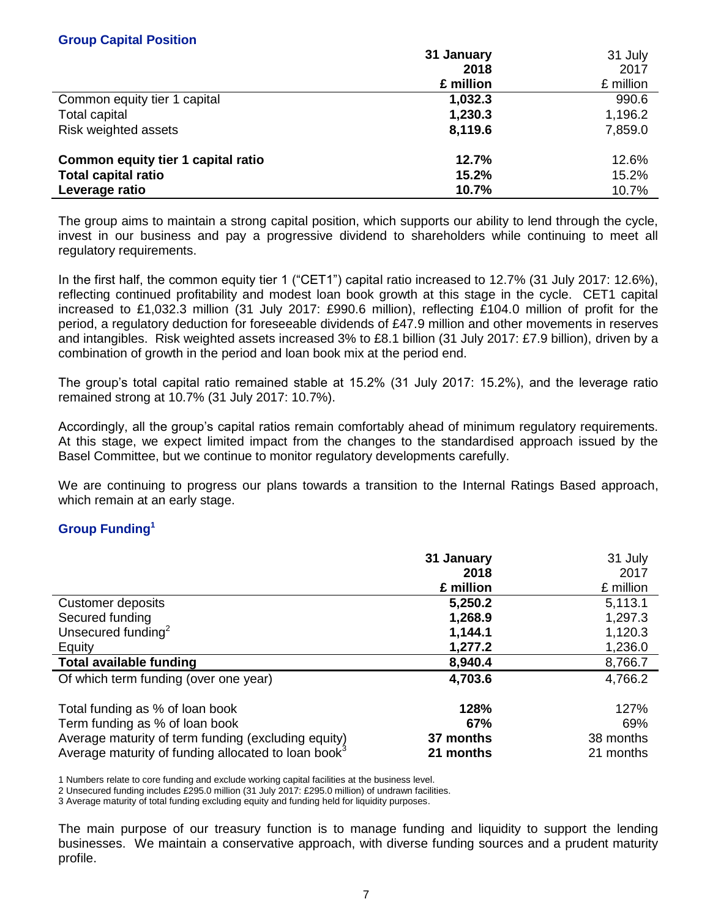|                                    | 31 January | 31 July   |
|------------------------------------|------------|-----------|
|                                    | 2018       | 2017      |
|                                    | £ million  | £ million |
| Common equity tier 1 capital       | 1,032.3    | 990.6     |
| Total capital                      | 1,230.3    | 1,196.2   |
| <b>Risk weighted assets</b>        | 8,119.6    | 7,859.0   |
| Common equity tier 1 capital ratio | 12.7%      | 12.6%     |
| <b>Total capital ratio</b>         | 15.2%      | 15.2%     |
| Leverage ratio                     | 10.7%      | 10.7%     |

31 July

The group aims to maintain a strong capital position, which supports our ability to lend through the cycle, invest in our business and pay a progressive dividend to shareholders while continuing to meet all regulatory requirements.

In the first half, the common equity tier 1 ("CET1") capital ratio increased to 12.7% (31 July 2017: 12.6%), reflecting continued profitability and modest loan book growth at this stage in the cycle. CET1 capital increased to £1,032.3 million (31 July 2017: £990.6 million), reflecting £104.0 million of profit for the period, a regulatory deduction for foreseeable dividends of £47.9 million and other movements in reserves and intangibles. Risk weighted assets increased 3% to £8.1 billion (31 July 2017: £7.9 billion), driven by a combination of growth in the period and loan book mix at the period end.

The group's total capital ratio remained stable at 15.2% (31 July 2017: 15.2%), and the leverage ratio remained strong at 10.7% (31 July 2017: 10.7%).

Accordingly, all the group's capital ratios remain comfortably ahead of minimum regulatory requirements. At this stage, we expect limited impact from the changes to the standardised approach issued by the Basel Committee, but we continue to monitor regulatory developments carefully.

We are continuing to progress our plans towards a transition to the Internal Ratings Based approach, which remain at an early stage.

## **Group Funding<sup>1</sup>**

|                                                                 | 31 January | 31 July   |
|-----------------------------------------------------------------|------------|-----------|
|                                                                 | 2018       | 2017      |
|                                                                 | £ million  | £ million |
| Customer deposits                                               | 5,250.2    | 5,113.1   |
| Secured funding                                                 | 1,268.9    | 1,297.3   |
| Unsecured funding $2$                                           | 1,144.1    | 1,120.3   |
| Equity                                                          | 1,277.2    | 1,236.0   |
| <b>Total available funding</b>                                  | 8,940.4    | 8,766.7   |
| Of which term funding (over one year)                           | 4,703.6    | 4,766.2   |
| Total funding as % of loan book                                 | 128%       | 127%      |
| Term funding as % of loan book                                  | 67%        | 69%       |
| Average maturity of term funding (excluding equity)             | 37 months  | 38 months |
| Average maturity of funding allocated to loan book <sup>3</sup> | 21 months  | 21 months |

1 Numbers relate to core funding and exclude working capital facilities at the business level.

2 Unsecured funding includes £295.0 million (31 July 2017: £295.0 million) of undrawn facilities.

3 Average maturity of total funding excluding equity and funding held for liquidity purposes.

The main purpose of our treasury function is to manage funding and liquidity to support the lending businesses. We maintain a conservative approach, with diverse funding sources and a prudent maturity profile.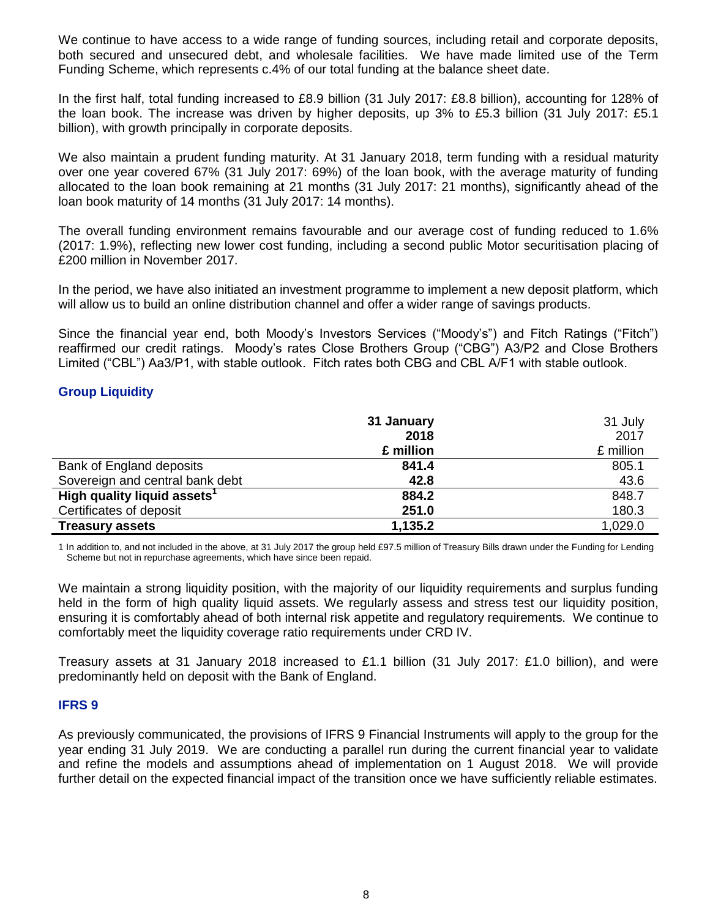We continue to have access to a wide range of funding sources, including retail and corporate deposits, both secured and unsecured debt, and wholesale facilities. We have made limited use of the Term Funding Scheme, which represents c.4% of our total funding at the balance sheet date.

In the first half, total funding increased to £8.9 billion (31 July 2017: £8.8 billion), accounting for 128% of the loan book. The increase was driven by higher deposits, up 3% to £5.3 billion (31 July 2017: £5.1 billion), with growth principally in corporate deposits.

We also maintain a prudent funding maturity. At 31 January 2018, term funding with a residual maturity over one year covered 67% (31 July 2017: 69%) of the loan book, with the average maturity of funding allocated to the loan book remaining at 21 months (31 July 2017: 21 months), significantly ahead of the loan book maturity of 14 months (31 July 2017: 14 months).

The overall funding environment remains favourable and our average cost of funding reduced to 1.6% (2017: 1.9%), reflecting new lower cost funding, including a second public Motor securitisation placing of £200 million in November 2017.

In the period, we have also initiated an investment programme to implement a new deposit platform, which will allow us to build an online distribution channel and offer a wider range of savings products.

Since the financial year end, both Moody's Investors Services ("Moody's") and Fitch Ratings ("Fitch") reaffirmed our credit ratings. Moody's rates Close Brothers Group ("CBG") A3/P2 and Close Brothers Limited ("CBL") Aa3/P1, with stable outlook. Fitch rates both CBG and CBL A/F1 with stable outlook.

## **Group Liquidity**

|                                         | 31 January | 31 July   |
|-----------------------------------------|------------|-----------|
|                                         | 2018       | 2017      |
|                                         | £ million  | £ million |
| Bank of England deposits                | 841.4      | 805.1     |
| Sovereign and central bank debt         | 42.8       | 43.6      |
| High quality liquid assets <sup>1</sup> | 884.2      | 848.7     |
| Certificates of deposit                 | 251.0      | 180.3     |
| <b>Treasury assets</b>                  | 1,135.2    | 1,029.0   |

1 In addition to, and not included in the above, at 31 July 2017 the group held £97.5 million of Treasury Bills drawn under the Funding for Lending Scheme but not in repurchase agreements, which have since been repaid.

We maintain a strong liquidity position, with the majority of our liquidity requirements and surplus funding held in the form of high quality liquid assets. We regularly assess and stress test our liquidity position, ensuring it is comfortably ahead of both internal risk appetite and regulatory requirements. We continue to comfortably meet the liquidity coverage ratio requirements under CRD IV.

Treasury assets at 31 January 2018 increased to £1.1 billion (31 July 2017: £1.0 billion), and were predominantly held on deposit with the Bank of England.

#### **IFRS 9**

As previously communicated, the provisions of IFRS 9 Financial Instruments will apply to the group for the year ending 31 July 2019. We are conducting a parallel run during the current financial year to validate and refine the models and assumptions ahead of implementation on 1 August 2018. We will provide further detail on the expected financial impact of the transition once we have sufficiently reliable estimates.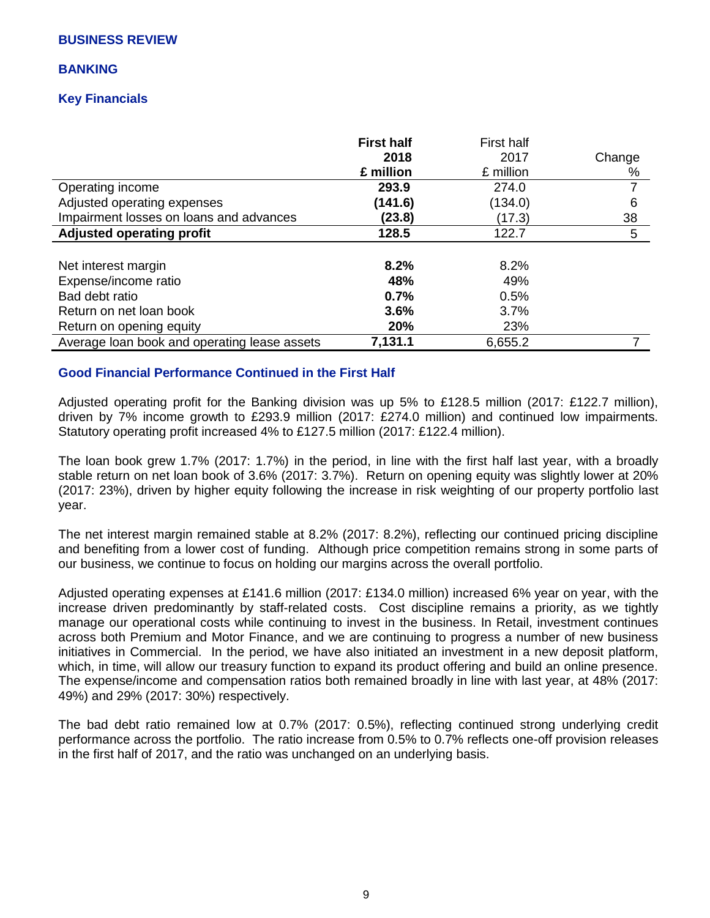### **BUSINESS REVIEW**

#### **BANKING**

### **Key Financials**

|                                              | <b>First half</b><br>2018<br>£ million | First half<br>2017<br>£ million | Change<br>% |
|----------------------------------------------|----------------------------------------|---------------------------------|-------------|
| Operating income                             | 293.9                                  | 274.0                           |             |
| Adjusted operating expenses                  | (141.6)                                | (134.0)                         | 6           |
| Impairment losses on loans and advances      | (23.8)                                 | (17.3)                          | 38          |
| <b>Adjusted operating profit</b>             | 128.5                                  | 122.7                           | 5           |
|                                              |                                        |                                 |             |
| Net interest margin                          | 8.2%                                   | 8.2%                            |             |
| Expense/income ratio                         | 48%                                    | 49%                             |             |
| Bad debt ratio                               | 0.7%                                   | 0.5%                            |             |
| Return on net loan book                      | 3.6%                                   | 3.7%                            |             |
| Return on opening equity                     | 20%                                    | 23%                             |             |
| Average loan book and operating lease assets | 7,131.1                                | 6,655.2                         |             |

## **Good Financial Performance Continued in the First Half**

Adjusted operating profit for the Banking division was up 5% to £128.5 million (2017: £122.7 million), driven by 7% income growth to £293.9 million (2017: £274.0 million) and continued low impairments. Statutory operating profit increased 4% to £127.5 million (2017: £122.4 million).

The loan book grew 1.7% (2017: 1.7%) in the period, in line with the first half last year, with a broadly stable return on net loan book of 3.6% (2017: 3.7%). Return on opening equity was slightly lower at 20% (2017: 23%), driven by higher equity following the increase in risk weighting of our property portfolio last year.

The net interest margin remained stable at 8.2% (2017: 8.2%), reflecting our continued pricing discipline and benefiting from a lower cost of funding. Although price competition remains strong in some parts of our business, we continue to focus on holding our margins across the overall portfolio.

Adjusted operating expenses at £141.6 million (2017: £134.0 million) increased 6% year on year, with the increase driven predominantly by staff-related costs. Cost discipline remains a priority, as we tightly manage our operational costs while continuing to invest in the business. In Retail, investment continues across both Premium and Motor Finance, and we are continuing to progress a number of new business initiatives in Commercial. In the period, we have also initiated an investment in a new deposit platform, which, in time, will allow our treasury function to expand its product offering and build an online presence. The expense/income and compensation ratios both remained broadly in line with last year, at 48% (2017: 49%) and 29% (2017: 30%) respectively.

The bad debt ratio remained low at 0.7% (2017: 0.5%), reflecting continued strong underlying credit performance across the portfolio. The ratio increase from 0.5% to 0.7% reflects one-off provision releases in the first half of 2017, and the ratio was unchanged on an underlying basis.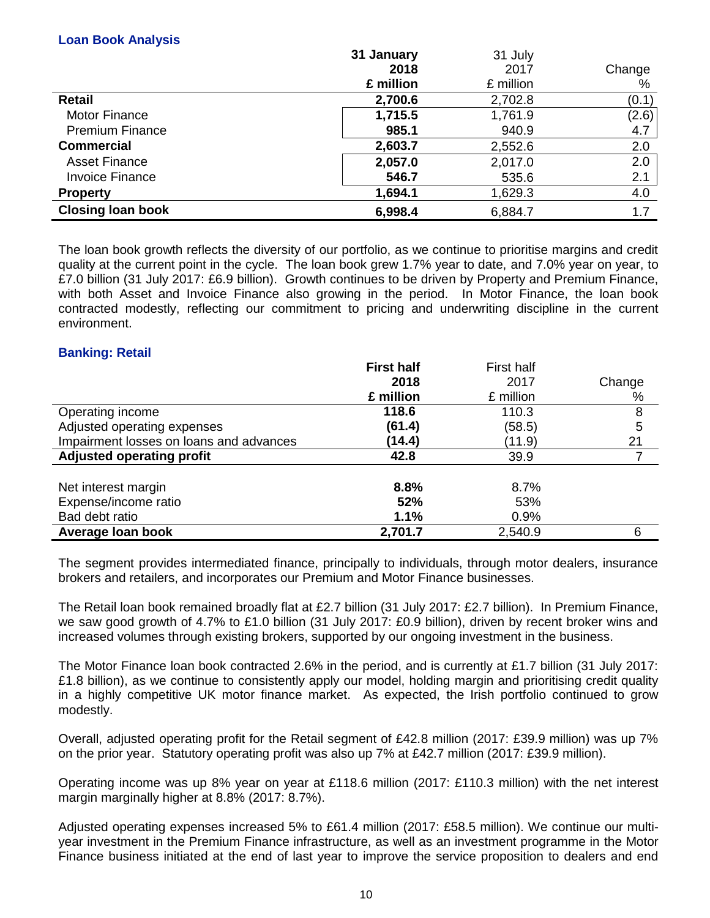### **Loan Book Analysis**

|                          | 31 January | 31 July   |        |
|--------------------------|------------|-----------|--------|
|                          | 2018       | 2017      | Change |
|                          | £ million  | £ million | %      |
| <b>Retail</b>            | 2,700.6    | 2,702.8   | (0.1)  |
| <b>Motor Finance</b>     | 1,715.5    | 1,761.9   | (2.6)  |
| <b>Premium Finance</b>   | 985.1      | 940.9     | 4.7    |
| <b>Commercial</b>        | 2,603.7    | 2,552.6   | 2.0    |
| <b>Asset Finance</b>     | 2,057.0    | 2,017.0   | 2.0    |
| <b>Invoice Finance</b>   | 546.7      | 535.6     | 2.1    |
| <b>Property</b>          | 1,694.1    | 1,629.3   | 4.0    |
| <b>Closing loan book</b> | 6,998.4    | 6,884.7   | 1.7    |

The loan book growth reflects the diversity of our portfolio, as we continue to prioritise margins and credit quality at the current point in the cycle. The loan book grew 1.7% year to date, and 7.0% year on year, to £7.0 billion (31 July 2017: £6.9 billion). Growth continues to be driven by Property and Premium Finance, with both Asset and Invoice Finance also growing in the period. In Motor Finance, the loan book contracted modestly, reflecting our commitment to pricing and underwriting discipline in the current environment.

## **Banking: Retail**

|                                         | <b>First half</b> | <b>First half</b> |        |
|-----------------------------------------|-------------------|-------------------|--------|
|                                         | 2018              | 2017              | Change |
|                                         | £ million         | £ million         | %      |
| Operating income                        | 118.6             | 110.3             | 8      |
| Adjusted operating expenses             | (61.4)            | (58.5)            | 5      |
| Impairment losses on loans and advances | (14.4)            | (11.9)            | 21     |
| <b>Adjusted operating profit</b>        | 42.8              | 39.9              |        |
|                                         |                   |                   |        |
| Net interest margin                     | 8.8%              | 8.7%              |        |
| Expense/income ratio                    | 52%               | 53%               |        |
| Bad debt ratio                          | 1.1%              | 0.9%              |        |
| Average loan book                       | 2,701.7           | 2,540.9           | 6      |

The segment provides intermediated finance, principally to individuals, through motor dealers, insurance brokers and retailers, and incorporates our Premium and Motor Finance businesses.

The Retail loan book remained broadly flat at £2.7 billion (31 July 2017: £2.7 billion). In Premium Finance, we saw good growth of 4.7% to £1.0 billion (31 July 2017: £0.9 billion), driven by recent broker wins and increased volumes through existing brokers, supported by our ongoing investment in the business.

The Motor Finance loan book contracted 2.6% in the period, and is currently at £1.7 billion (31 July 2017: £1.8 billion), as we continue to consistently apply our model, holding margin and prioritising credit quality in a highly competitive UK motor finance market. As expected, the Irish portfolio continued to grow modestly.

Overall, adjusted operating profit for the Retail segment of £42.8 million (2017: £39.9 million) was up 7% on the prior year. Statutory operating profit was also up 7% at £42.7 million (2017: £39.9 million).

Operating income was up 8% year on year at £118.6 million (2017: £110.3 million) with the net interest margin marginally higher at 8.8% (2017: 8.7%).

Adjusted operating expenses increased 5% to £61.4 million (2017: £58.5 million). We continue our multiyear investment in the Premium Finance infrastructure, as well as an investment programme in the Motor Finance business initiated at the end of last year to improve the service proposition to dealers and end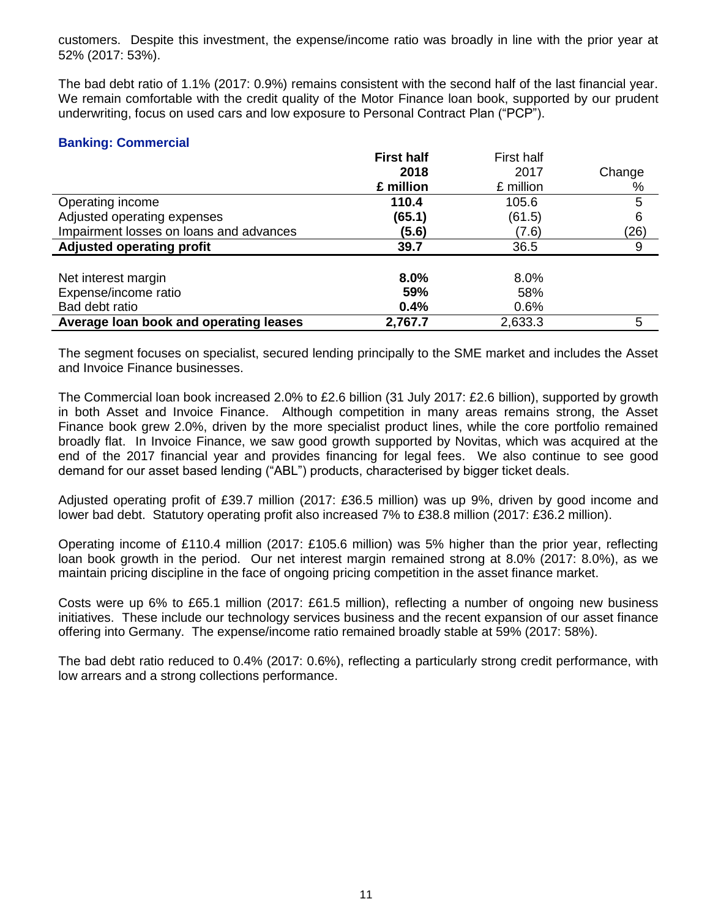customers. Despite this investment, the expense/income ratio was broadly in line with the prior year at 52% (2017: 53%).

The bad debt ratio of 1.1% (2017: 0.9%) remains consistent with the second half of the last financial year. We remain comfortable with the credit quality of the Motor Finance loan book, supported by our prudent underwriting, focus on used cars and low exposure to Personal Contract Plan ("PCP").

## **Banking: Commercial**

|                                         | <b>First half</b> | First half |        |
|-----------------------------------------|-------------------|------------|--------|
|                                         | 2018              | 2017       | Change |
|                                         | £ million         | £ million  | %      |
| Operating income                        | 110.4             | 105.6      | 5      |
| Adjusted operating expenses             | (65.1)            | (61.5)     | 6      |
| Impairment losses on loans and advances | (5.6)             | (7.6)      | (26)   |
| <b>Adjusted operating profit</b>        | 39.7              | 36.5       | 9      |
|                                         |                   |            |        |
| Net interest margin                     | 8.0%              | 8.0%       |        |
| Expense/income ratio                    | 59%               | 58%        |        |
| Bad debt ratio                          | 0.4%              | 0.6%       |        |
| Average loan book and operating leases  | 2,767.7           | 2,633.3    | 5      |

The segment focuses on specialist, secured lending principally to the SME market and includes the Asset and Invoice Finance businesses.

The Commercial loan book increased 2.0% to £2.6 billion (31 July 2017: £2.6 billion), supported by growth in both Asset and Invoice Finance. Although competition in many areas remains strong, the Asset Finance book grew 2.0%, driven by the more specialist product lines, while the core portfolio remained broadly flat. In Invoice Finance, we saw good growth supported by Novitas, which was acquired at the end of the 2017 financial year and provides financing for legal fees. We also continue to see good demand for our asset based lending ("ABL") products, characterised by bigger ticket deals.

Adjusted operating profit of £39.7 million (2017: £36.5 million) was up 9%, driven by good income and lower bad debt. Statutory operating profit also increased 7% to £38.8 million (2017: £36.2 million).

Operating income of £110.4 million (2017: £105.6 million) was 5% higher than the prior year, reflecting loan book growth in the period. Our net interest margin remained strong at 8.0% (2017: 8.0%), as we maintain pricing discipline in the face of ongoing pricing competition in the asset finance market.

Costs were up 6% to £65.1 million (2017: £61.5 million), reflecting a number of ongoing new business initiatives. These include our technology services business and the recent expansion of our asset finance offering into Germany. The expense/income ratio remained broadly stable at 59% (2017: 58%).

The bad debt ratio reduced to 0.4% (2017: 0.6%), reflecting a particularly strong credit performance, with low arrears and a strong collections performance.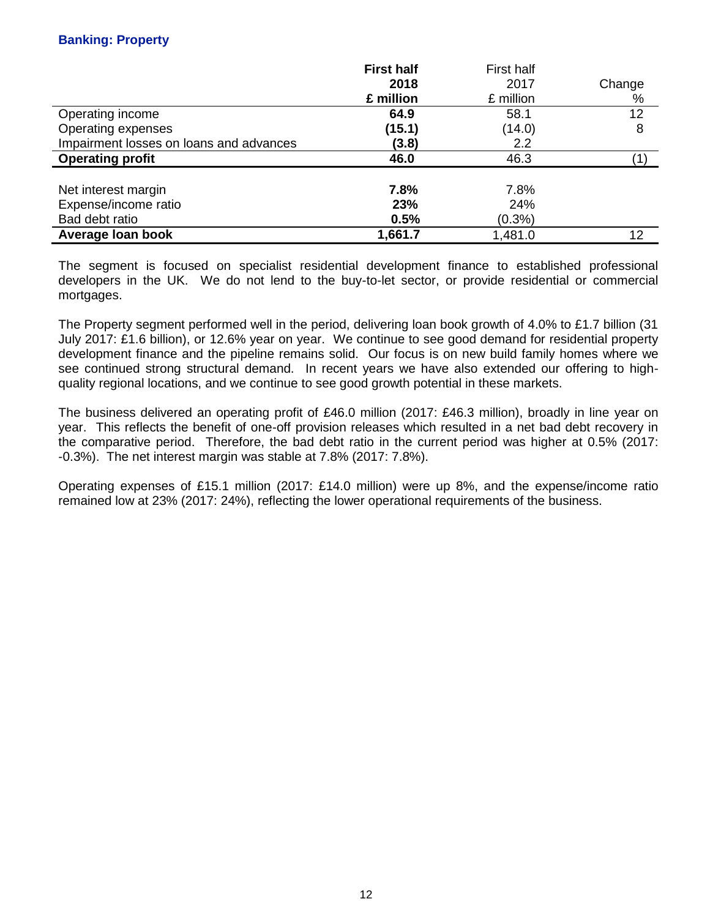## **Banking: Property**

|                                         | <b>First half</b> | First half |        |
|-----------------------------------------|-------------------|------------|--------|
|                                         | 2018              | 2017       | Change |
|                                         | £ million         | £ million  | %      |
| Operating income                        | 64.9              | 58.1       | 12     |
| Operating expenses                      | (15.1)            | (14.0)     | 8      |
| Impairment losses on loans and advances | (3.8)             | 2.2        |        |
| <b>Operating profit</b>                 | 46.0              | 46.3       |        |
|                                         |                   |            |        |
| Net interest margin                     | 7.8%              | 7.8%       |        |
| Expense/income ratio                    | 23%               | 24%        |        |
| Bad debt ratio                          | 0.5%              | $(0.3\%)$  |        |
| Average Ioan book                       | 1,661.7           | 1,481.0    | 12     |

The segment is focused on specialist residential development finance to established professional developers in the UK. We do not lend to the buy-to-let sector, or provide residential or commercial mortgages.

The Property segment performed well in the period, delivering loan book growth of 4.0% to £1.7 billion (31 July 2017: £1.6 billion), or 12.6% year on year. We continue to see good demand for residential property development finance and the pipeline remains solid. Our focus is on new build family homes where we see continued strong structural demand. In recent years we have also extended our offering to highquality regional locations, and we continue to see good growth potential in these markets.

The business delivered an operating profit of £46.0 million (2017: £46.3 million), broadly in line year on year. This reflects the benefit of one-off provision releases which resulted in a net bad debt recovery in the comparative period. Therefore, the bad debt ratio in the current period was higher at 0.5% (2017: -0.3%). The net interest margin was stable at 7.8% (2017: 7.8%).

Operating expenses of £15.1 million (2017: £14.0 million) were up 8%, and the expense/income ratio remained low at 23% (2017: 24%), reflecting the lower operational requirements of the business.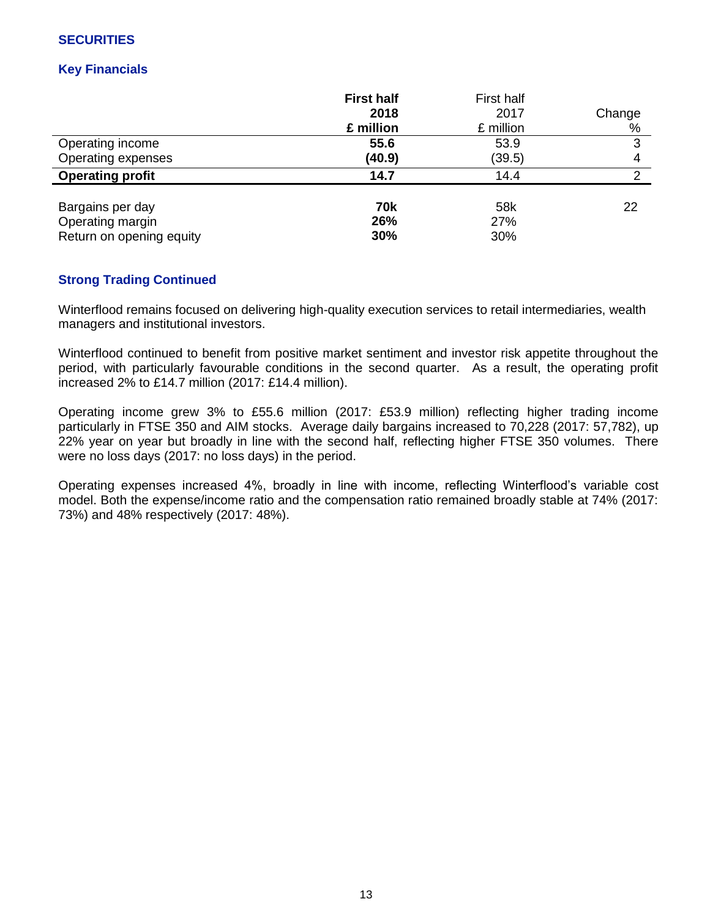## **SECURITIES**

## **Key Financials**

|                          | <b>First half</b><br>2018<br>£ million | First half<br>2017<br>£ million | Change<br>% |
|--------------------------|----------------------------------------|---------------------------------|-------------|
| Operating income         | 55.6                                   | 53.9                            | 3           |
| Operating expenses       | (40.9)                                 | (39.5)                          |             |
| <b>Operating profit</b>  | 14.7                                   | 14.4                            | っ           |
| Bargains per day         | 70k                                    | 58k                             | 22          |
| Operating margin         | 26%                                    | 27%                             |             |
| Return on opening equity | 30%                                    | 30%                             |             |

## **Strong Trading Continued**

Winterflood remains focused on delivering high-quality execution services to retail intermediaries, wealth managers and institutional investors.

Winterflood continued to benefit from positive market sentiment and investor risk appetite throughout the period, with particularly favourable conditions in the second quarter. As a result, the operating profit increased 2% to £14.7 million (2017: £14.4 million).

Operating income grew 3% to £55.6 million (2017: £53.9 million) reflecting higher trading income particularly in FTSE 350 and AIM stocks. Average daily bargains increased to 70,228 (2017: 57,782), up 22% year on year but broadly in line with the second half, reflecting higher FTSE 350 volumes. There were no loss days (2017: no loss days) in the period.

Operating expenses increased 4%, broadly in line with income, reflecting Winterflood's variable cost model. Both the expense/income ratio and the compensation ratio remained broadly stable at 74% (2017: 73%) and 48% respectively (2017: 48%).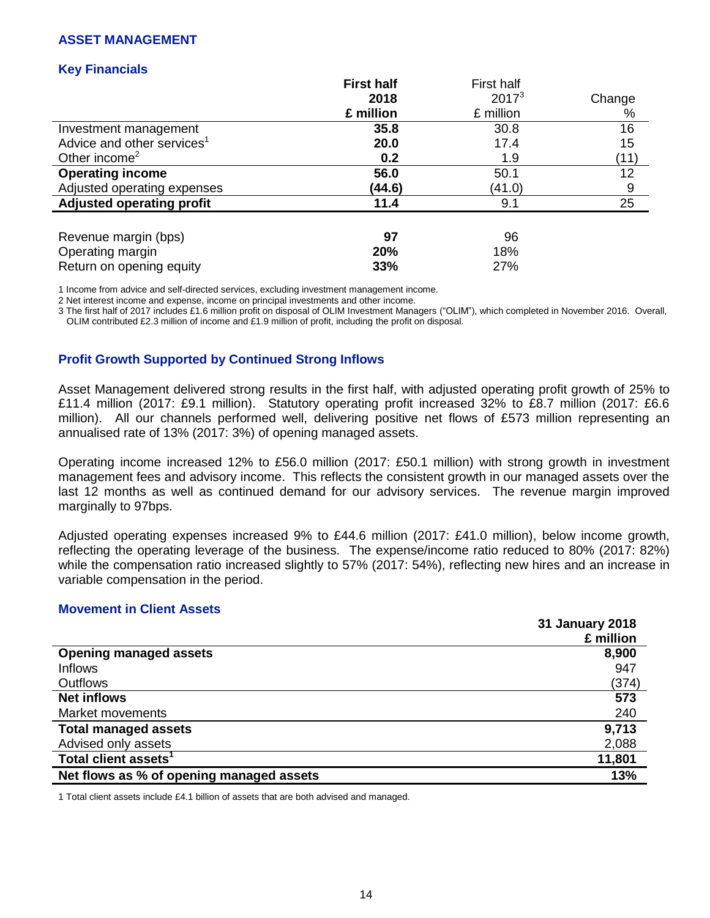#### **ASSET MANAGEMENT**

### **Key Financials**

|                                        | <b>First half</b> | First half |        |
|----------------------------------------|-------------------|------------|--------|
|                                        | 2018              | $2017^3$   | Change |
|                                        | £ million         | £ million  | %      |
| Investment management                  | 35.8              | 30.8       | 16     |
| Advice and other services <sup>1</sup> | 20.0              | 17.4       | 15     |
| Other income <sup>2</sup>              | 0.2               | 1.9        | (11)   |
| <b>Operating income</b>                | 56.0              | 50.1       | 12     |
| Adjusted operating expenses            | (44.6)            | (41.0)     | 9      |
| <b>Adjusted operating profit</b>       | 11.4              | 9.1        | 25     |
|                                        |                   |            |        |
| Revenue margin (bps)                   | 97                | 96         |        |
| Operating margin                       | 20%               | 18%        |        |
| Return on opening equity               | 33%               | 27%        |        |

1 Income from advice and self-directed services, excluding investment management income.

2 Net interest income and expense, income on principal investments and other income.

3 The first half of 2017 includes £1.6 million profit on disposal of OLIM Investment Managers ("OLIM"), which completed in November 2016. Overall, OLIM contributed £2.3 million of income and £1.9 million of profit, including the profit on disposal.

#### **Profit Growth Supported by Continued Strong Inflows**

Asset Management delivered strong results in the first half, with adjusted operating profit growth of 25% to £11.4 million (2017: £9.1 million). Statutory operating profit increased 32% to £8.7 million (2017: £6.6 million). All our channels performed well, delivering positive net flows of £573 million representing an annualised rate of 13% (2017: 3%) of opening managed assets.

Operating income increased 12% to £56.0 million (2017: £50.1 million) with strong growth in investment management fees and advisory income. This reflects the consistent growth in our managed assets over the last 12 months as well as continued demand for our advisory services. The revenue margin improved marginally to 97bps.

Adjusted operating expenses increased 9% to £44.6 million (2017: £41.0 million), below income growth, reflecting the operating leverage of the business. The expense/income ratio reduced to 80% (2017: 82%) while the compensation ratio increased slightly to 57% (2017: 54%), reflecting new hires and an increase in variable compensation in the period.

#### **Movement in Client Assets**

|                                          | 31 January 2018 |
|------------------------------------------|-----------------|
|                                          | £ million       |
| <b>Opening managed assets</b>            | 8,900           |
| <b>Inflows</b>                           | 947             |
| <b>Outflows</b>                          | (374)           |
| <b>Net inflows</b>                       | 573             |
| Market movements                         | 240             |
| <b>Total managed assets</b>              | 9,713           |
| Advised only assets                      | 2,088           |
| Total client assets <sup>1</sup>         | 11,801          |
| Net flows as % of opening managed assets | 13%             |

1 Total client assets include £4.1 billion of assets that are both advised and managed.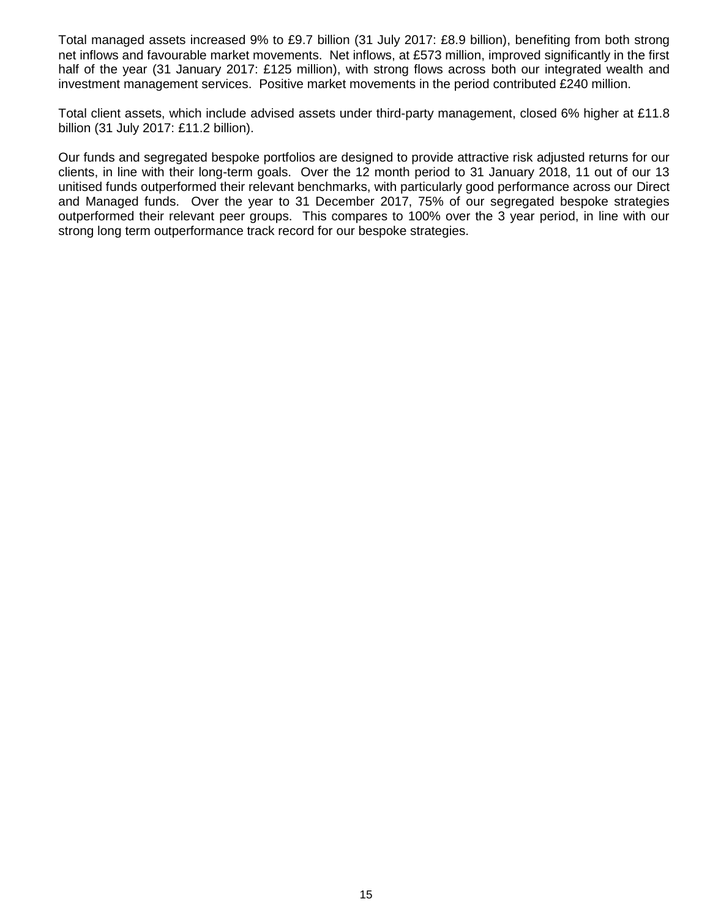Total managed assets increased 9% to £9.7 billion (31 July 2017: £8.9 billion), benefiting from both strong net inflows and favourable market movements. Net inflows, at £573 million, improved significantly in the first half of the year (31 January 2017: £125 million), with strong flows across both our integrated wealth and investment management services. Positive market movements in the period contributed £240 million.

Total client assets, which include advised assets under third-party management, closed 6% higher at £11.8 billion (31 July 2017: £11.2 billion).

Our funds and segregated bespoke portfolios are designed to provide attractive risk adjusted returns for our clients, in line with their long-term goals. Over the 12 month period to 31 January 2018, 11 out of our 13 unitised funds outperformed their relevant benchmarks, with particularly good performance across our Direct and Managed funds. Over the year to 31 December 2017, 75% of our segregated bespoke strategies outperformed their relevant peer groups. This compares to 100% over the 3 year period, in line with our strong long term outperformance track record for our bespoke strategies.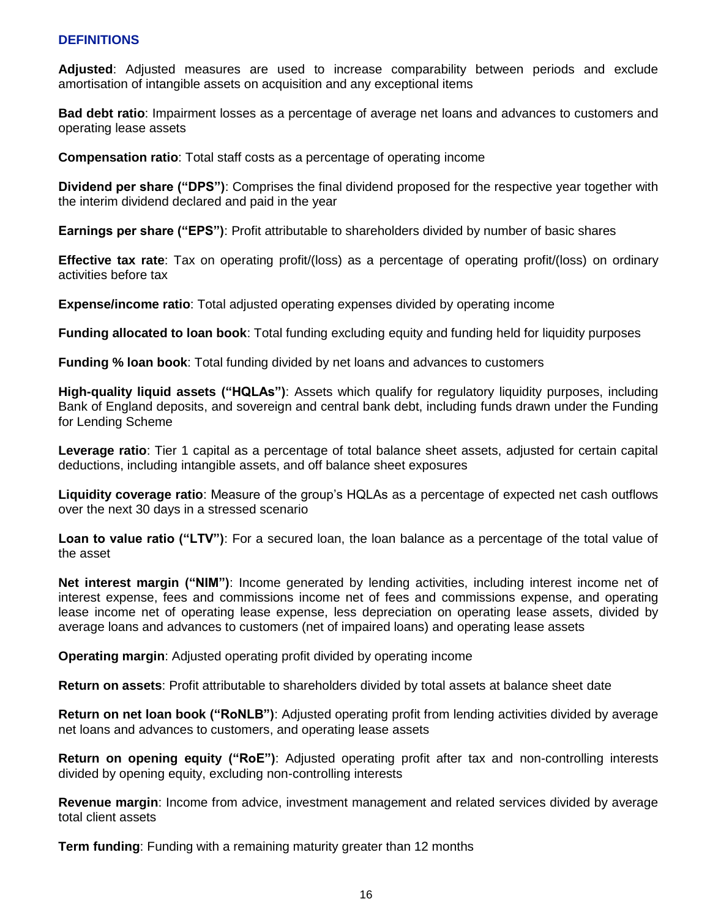## **DEFINITIONS**

**Adjusted**: Adjusted measures are used to increase comparability between periods and exclude amortisation of intangible assets on acquisition and any exceptional items

**Bad debt ratio**: Impairment losses as a percentage of average net loans and advances to customers and operating lease assets

**Compensation ratio**: Total staff costs as a percentage of operating income

**Dividend per share ("DPS")**: Comprises the final dividend proposed for the respective year together with the interim dividend declared and paid in the year

**Earnings per share ("EPS")**: Profit attributable to shareholders divided by number of basic shares

**Effective tax rate**: Tax on operating profit/(loss) as a percentage of operating profit/(loss) on ordinary activities before tax

**Expense/income ratio**: Total adjusted operating expenses divided by operating income

**Funding allocated to loan book**: Total funding excluding equity and funding held for liquidity purposes

**Funding % loan book**: Total funding divided by net loans and advances to customers

**High-quality liquid assets ("HQLAs")**: Assets which qualify for regulatory liquidity purposes, including Bank of England deposits, and sovereign and central bank debt, including funds drawn under the Funding for Lending Scheme

**Leverage ratio**: Tier 1 capital as a percentage of total balance sheet assets, adjusted for certain capital deductions, including intangible assets, and off balance sheet exposures

**Liquidity coverage ratio**: Measure of the group's HQLAs as a percentage of expected net cash outflows over the next 30 days in a stressed scenario

**Loan to value ratio ("LTV")**: For a secured loan, the loan balance as a percentage of the total value of the asset

**Net interest margin ("NIM")**: Income generated by lending activities, including interest income net of interest expense, fees and commissions income net of fees and commissions expense, and operating lease income net of operating lease expense, less depreciation on operating lease assets, divided by average loans and advances to customers (net of impaired loans) and operating lease assets

**Operating margin**: Adjusted operating profit divided by operating income

**Return on assets**: Profit attributable to shareholders divided by total assets at balance sheet date

**Return on net loan book ("RoNLB")**: Adjusted operating profit from lending activities divided by average net loans and advances to customers, and operating lease assets

**Return on opening equity ("RoE")**: Adjusted operating profit after tax and non-controlling interests divided by opening equity, excluding non-controlling interests

**Revenue margin**: Income from advice, investment management and related services divided by average total client assets

**Term funding**: Funding with a remaining maturity greater than 12 months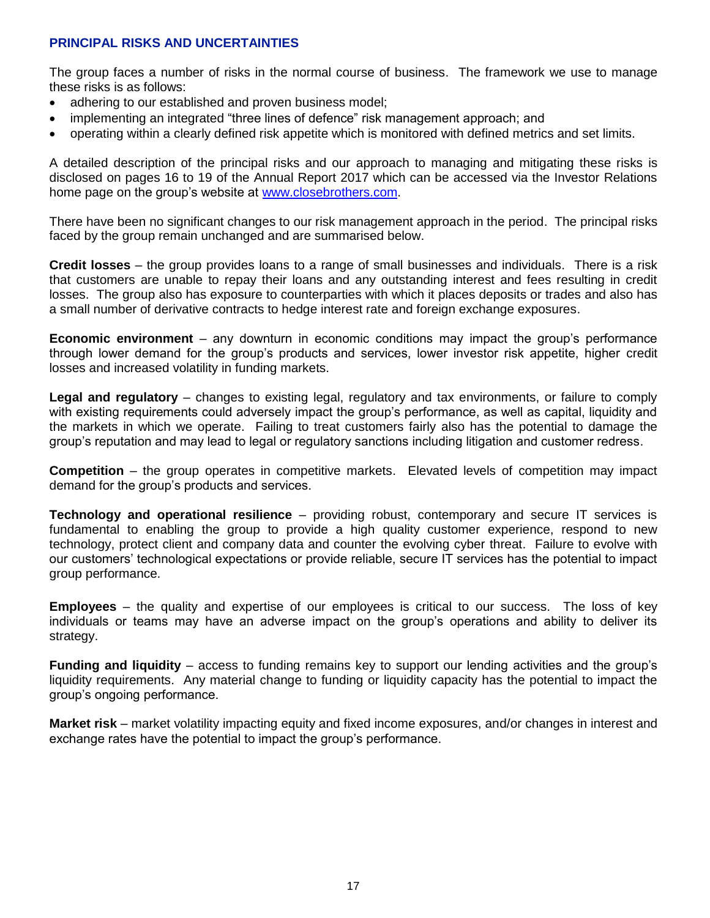## **PRINCIPAL RISKS AND UNCERTAINTIES**

The group faces a number of risks in the normal course of business. The framework we use to manage these risks is as follows:

- adhering to our established and proven business model;
- implementing an integrated "three lines of defence" risk management approach; and
- operating within a clearly defined risk appetite which is monitored with defined metrics and set limits.

A detailed description of the principal risks and our approach to managing and mitigating these risks is disclosed on pages 16 to 19 of the Annual Report 2017 which can be accessed via the Investor Relations home page on the group's website at [www.closebrothers.com.](http://www.closebrothers.com/)

There have been no significant changes to our risk management approach in the period. The principal risks faced by the group remain unchanged and are summarised below.

**Credit losses** – the group provides loans to a range of small businesses and individuals. There is a risk that customers are unable to repay their loans and any outstanding interest and fees resulting in credit losses. The group also has exposure to counterparties with which it places deposits or trades and also has a small number of derivative contracts to hedge interest rate and foreign exchange exposures.

**Economic environment** – any downturn in economic conditions may impact the group's performance through lower demand for the group's products and services, lower investor risk appetite, higher credit losses and increased volatility in funding markets.

**Legal and regulatory** – changes to existing legal, regulatory and tax environments, or failure to comply with existing requirements could adversely impact the group's performance, as well as capital, liquidity and the markets in which we operate. Failing to treat customers fairly also has the potential to damage the group's reputation and may lead to legal or regulatory sanctions including litigation and customer redress.

**Competition** – the group operates in competitive markets. Elevated levels of competition may impact demand for the group's products and services.

**Technology and operational resilience** – providing robust, contemporary and secure IT services is fundamental to enabling the group to provide a high quality customer experience, respond to new technology, protect client and company data and counter the evolving cyber threat. Failure to evolve with our customers' technological expectations or provide reliable, secure IT services has the potential to impact group performance.

**Employees** – the quality and expertise of our employees is critical to our success. The loss of key individuals or teams may have an adverse impact on the group's operations and ability to deliver its strategy.

**Funding and liquidity** – access to funding remains key to support our lending activities and the group's liquidity requirements. Any material change to funding or liquidity capacity has the potential to impact the group's ongoing performance.

**Market risk** – market volatility impacting equity and fixed income exposures, and/or changes in interest and exchange rates have the potential to impact the group's performance.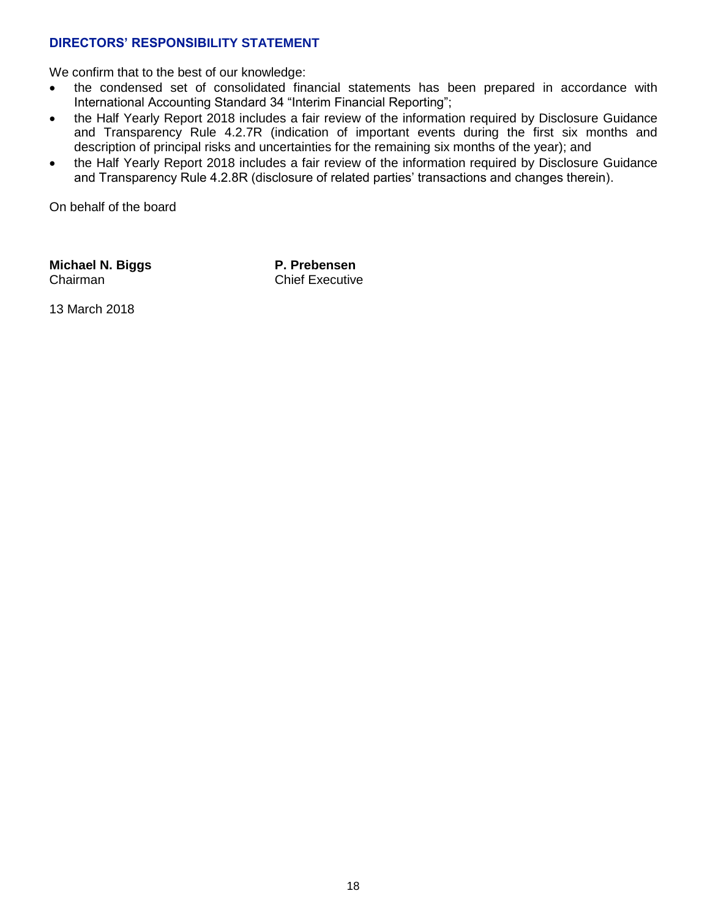## **DIRECTORS' RESPONSIBILITY STATEMENT**

We confirm that to the best of our knowledge:

- the condensed set of consolidated financial statements has been prepared in accordance with International Accounting Standard 34 "Interim Financial Reporting";
- the Half Yearly Report 2018 includes a fair review of the information required by Disclosure Guidance and Transparency Rule 4.2.7R (indication of important events during the first six months and description of principal risks and uncertainties for the remaining six months of the year); and
- the Half Yearly Report 2018 includes a fair review of the information required by Disclosure Guidance and Transparency Rule 4.2.8R (disclosure of related parties' transactions and changes therein).

On behalf of the board

**Michael N. Biggs** Chairman

**P. Prebensen** Chief Executive

13 March 2018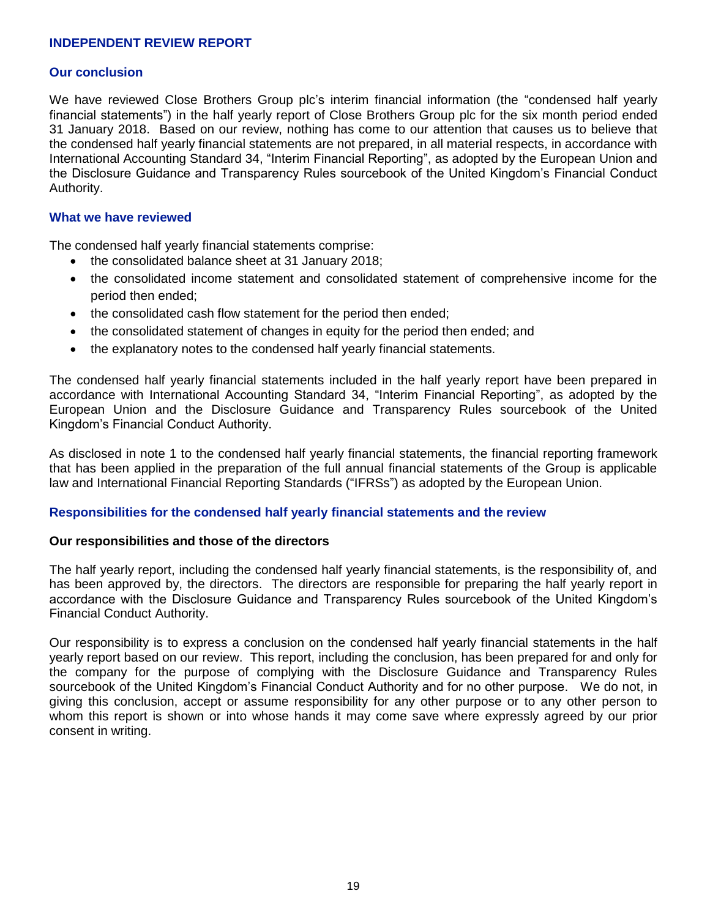### **INDEPENDENT REVIEW REPORT**

#### **Our conclusion**

We have reviewed Close Brothers Group plc's interim financial information (the "condensed half yearly financial statements") in the half yearly report of Close Brothers Group plc for the six month period ended 31 January 2018. Based on our review, nothing has come to our attention that causes us to believe that the condensed half yearly financial statements are not prepared, in all material respects, in accordance with International Accounting Standard 34, "Interim Financial Reporting", as adopted by the European Union and the Disclosure Guidance and Transparency Rules sourcebook of the United Kingdom's Financial Conduct Authority.

#### **What we have reviewed**

The condensed half yearly financial statements comprise:

- the consolidated balance sheet at 31 January 2018;
- the consolidated income statement and consolidated statement of comprehensive income for the period then ended;
- the consolidated cash flow statement for the period then ended;
- the consolidated statement of changes in equity for the period then ended; and
- the explanatory notes to the condensed half yearly financial statements.

The condensed half yearly financial statements included in the half yearly report have been prepared in accordance with International Accounting Standard 34, "Interim Financial Reporting", as adopted by the European Union and the Disclosure Guidance and Transparency Rules sourcebook of the United Kingdom's Financial Conduct Authority.

As disclosed in note 1 to the condensed half yearly financial statements, the financial reporting framework that has been applied in the preparation of the full annual financial statements of the Group is applicable law and International Financial Reporting Standards ("IFRSs") as adopted by the European Union.

#### **Responsibilities for the condensed half yearly financial statements and the review**

### **Our responsibilities and those of the directors**

The half yearly report, including the condensed half yearly financial statements, is the responsibility of, and has been approved by, the directors. The directors are responsible for preparing the half yearly report in accordance with the Disclosure Guidance and Transparency Rules sourcebook of the United Kingdom's Financial Conduct Authority.

Our responsibility is to express a conclusion on the condensed half yearly financial statements in the half yearly report based on our review. This report, including the conclusion, has been prepared for and only for the company for the purpose of complying with the Disclosure Guidance and Transparency Rules sourcebook of the United Kingdom's Financial Conduct Authority and for no other purpose. We do not, in giving this conclusion, accept or assume responsibility for any other purpose or to any other person to whom this report is shown or into whose hands it may come save where expressly agreed by our prior consent in writing.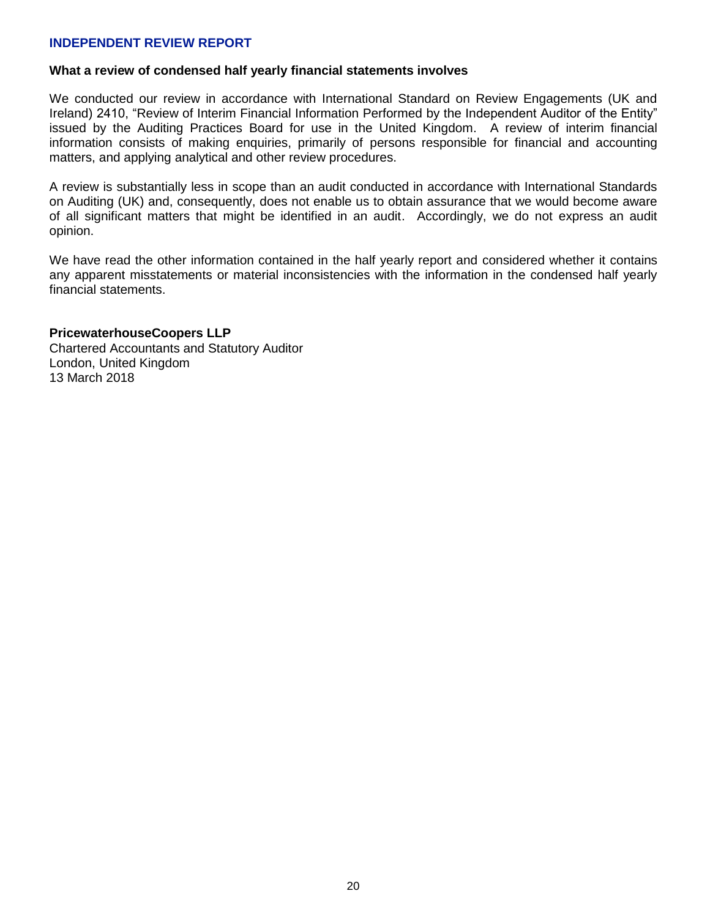### **INDEPENDENT REVIEW REPORT**

#### **What a review of condensed half yearly financial statements involves**

We conducted our review in accordance with International Standard on Review Engagements (UK and Ireland) 2410, "Review of Interim Financial Information Performed by the Independent Auditor of the Entity" issued by the Auditing Practices Board for use in the United Kingdom. A review of interim financial information consists of making enquiries, primarily of persons responsible for financial and accounting matters, and applying analytical and other review procedures.

A review is substantially less in scope than an audit conducted in accordance with International Standards on Auditing (UK) and, consequently, does not enable us to obtain assurance that we would become aware of all significant matters that might be identified in an audit. Accordingly, we do not express an audit opinion.

We have read the other information contained in the half yearly report and considered whether it contains any apparent misstatements or material inconsistencies with the information in the condensed half yearly financial statements.

#### **PricewaterhouseCoopers LLP**

Chartered Accountants and Statutory Auditor London, United Kingdom 13 March 2018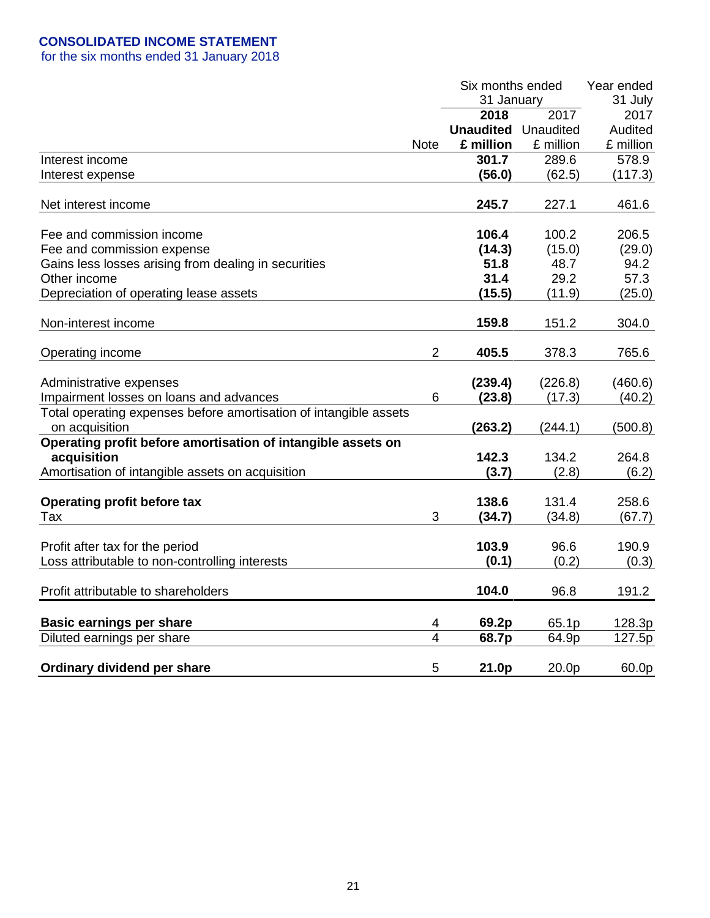|                                                                   |                | Six months ended           | Year ended |           |
|-------------------------------------------------------------------|----------------|----------------------------|------------|-----------|
|                                                                   |                | 31 January                 |            | 31 July   |
|                                                                   |                | 2018                       | 2017       | 2017      |
|                                                                   |                | <b>Unaudited</b> Unaudited |            | Audited   |
|                                                                   | <b>Note</b>    | £ million                  | £ million  | £ million |
| Interest income                                                   |                | 301.7                      | 289.6      | 578.9     |
| Interest expense                                                  |                | (56.0)                     | (62.5)     | (117.3)   |
|                                                                   |                |                            |            |           |
| Net interest income                                               |                | 245.7                      | 227.1      | 461.6     |
|                                                                   |                |                            |            |           |
| Fee and commission income                                         |                | 106.4                      | 100.2      | 206.5     |
| Fee and commission expense                                        |                | (14.3)                     | (15.0)     | (29.0)    |
| Gains less losses arising from dealing in securities              |                | 51.8                       | 48.7       | 94.2      |
| Other income                                                      |                | 31.4                       | 29.2       | 57.3      |
| Depreciation of operating lease assets                            |                | (15.5)                     | (11.9)     | (25.0)    |
|                                                                   |                |                            |            |           |
| Non-interest income                                               |                | 159.8                      | 151.2      | 304.0     |
|                                                                   |                |                            |            |           |
| Operating income                                                  | $\overline{2}$ | 405.5                      | 378.3      | 765.6     |
|                                                                   |                |                            |            |           |
| Administrative expenses                                           |                | (239.4)                    | (226.8)    | (460.6)   |
| Impairment losses on loans and advances                           | 6              | (23.8)                     | (17.3)     | (40.2)    |
| Total operating expenses before amortisation of intangible assets |                |                            |            |           |
| on acquisition                                                    |                | (263.2)                    | (244.1)    | (500.8)   |
| Operating profit before amortisation of intangible assets on      |                |                            |            |           |
| acquisition                                                       |                | 142.3                      | 134.2      | 264.8     |
| Amortisation of intangible assets on acquisition                  |                | (3.7)                      | (2.8)      | (6.2)     |
|                                                                   |                | 138.6                      | 131.4      |           |
| <b>Operating profit before tax</b><br>Tax                         | 3              |                            |            | 258.6     |
|                                                                   |                | (34.7)                     | (34.8)     | (67.7)    |
| Profit after tax for the period                                   |                | 103.9                      | 96.6       | 190.9     |
| Loss attributable to non-controlling interests                    |                | (0.1)                      | (0.2)      | (0.3)     |
|                                                                   |                |                            |            |           |
| Profit attributable to shareholders                               |                | 104.0                      | 96.8       | 191.2     |
|                                                                   |                |                            |            |           |
| <b>Basic earnings per share</b>                                   | 4              | 69.2p                      | 65.1p      | 128.3p    |
| Diluted earnings per share                                        | $\overline{4}$ | 68.7p                      | 64.9p      | 127.5p    |
|                                                                   |                |                            |            |           |
| Ordinary dividend per share                                       | 5              | 21.0p                      | 20.0p      | 60.0p     |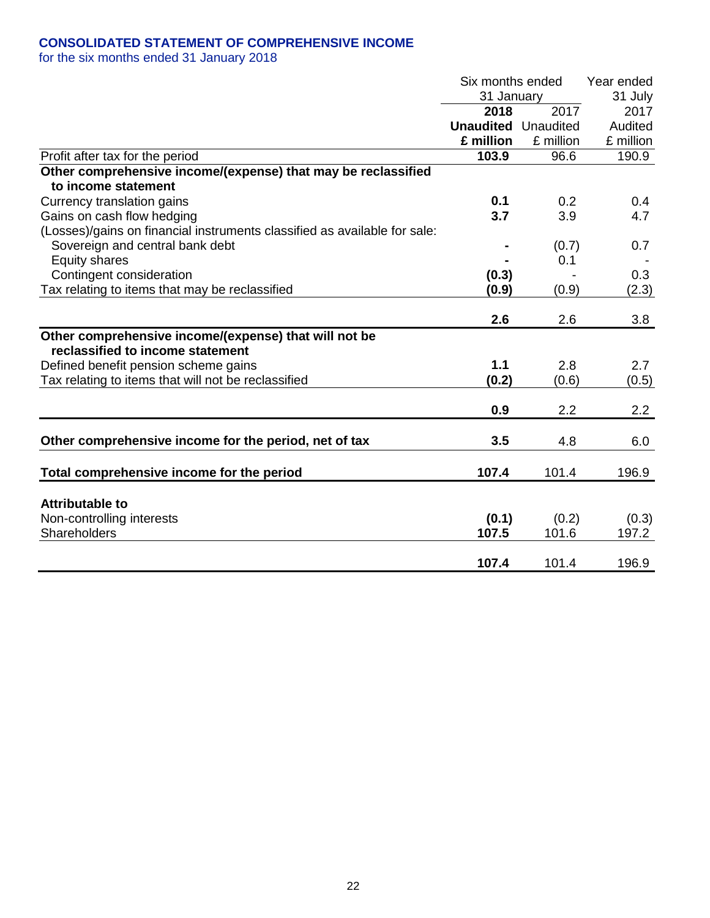## **CONSOLIDATED STATEMENT OF COMPREHENSIVE INCOME**

|                                                                           | Six months ended           |           | Year ended |
|---------------------------------------------------------------------------|----------------------------|-----------|------------|
|                                                                           | 31 January                 | 31 July   |            |
|                                                                           | 2018                       | 2017      | 2017       |
|                                                                           | <b>Unaudited</b> Unaudited |           | Audited    |
|                                                                           | £ million                  | £ million | £ million  |
| Profit after tax for the period                                           | 103.9                      | 96.6      | 190.9      |
| Other comprehensive income/(expense) that may be reclassified             |                            |           |            |
| to income statement                                                       |                            |           |            |
| Currency translation gains                                                | 0.1                        | 0.2       | 0.4        |
| Gains on cash flow hedging                                                | 3.7                        | 3.9       | 4.7        |
| (Losses)/gains on financial instruments classified as available for sale: |                            |           |            |
| Sovereign and central bank debt                                           |                            | (0.7)     | 0.7        |
| <b>Equity shares</b>                                                      |                            | 0.1       |            |
| Contingent consideration                                                  | (0.3)                      |           | 0.3        |
| Tax relating to items that may be reclassified                            | (0.9)                      | (0.9)     | (2.3)      |
|                                                                           |                            |           |            |
|                                                                           | 2.6                        | 2.6       | 3.8        |
| Other comprehensive income/(expense) that will not be                     |                            |           |            |
| reclassified to income statement                                          |                            |           |            |
| Defined benefit pension scheme gains                                      | 1.1                        | 2.8       | 2.7        |
| Tax relating to items that will not be reclassified                       | (0.2)                      | (0.6)     | (0.5)      |
|                                                                           |                            |           |            |
|                                                                           | 0.9                        | 2.2       | 2.2        |
|                                                                           |                            |           |            |
| Other comprehensive income for the period, net of tax                     | 3.5                        | 4.8       | 6.0        |
|                                                                           | 107.4                      | 101.4     | 196.9      |
| Total comprehensive income for the period                                 |                            |           |            |
| <b>Attributable to</b>                                                    |                            |           |            |
| Non-controlling interests                                                 | (0.1)                      | (0.2)     | (0.3)      |
| Shareholders                                                              | 107.5                      | 101.6     | 197.2      |
|                                                                           |                            |           |            |
|                                                                           | 107.4                      | 101.4     | 196.9      |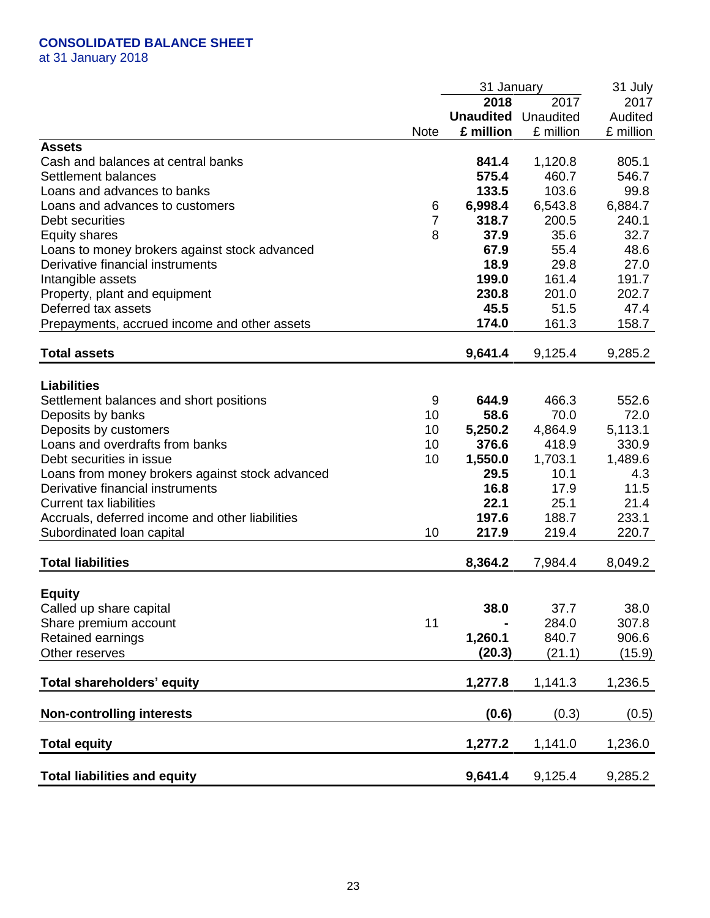## **CONSOLIDATED BALANCE SHEET**

at 31 January 2018

|                                                 |                | 31 January       |           | 31 July   |
|-------------------------------------------------|----------------|------------------|-----------|-----------|
|                                                 |                | 2018             | 2017      | 2017      |
|                                                 |                | <b>Unaudited</b> | Unaudited | Audited   |
|                                                 | <b>Note</b>    | £ million        | £ million | £ million |
| <b>Assets</b>                                   |                |                  |           |           |
| Cash and balances at central banks              |                | 841.4            | 1,120.8   | 805.1     |
| Settlement balances                             |                | 575.4            | 460.7     | 546.7     |
| Loans and advances to banks                     |                | 133.5            | 103.6     | 99.8      |
| Loans and advances to customers                 | 6              | 6,998.4          | 6,543.8   | 6,884.7   |
| Debt securities                                 | $\overline{7}$ | 318.7            | 200.5     | 240.1     |
| <b>Equity shares</b>                            | 8              | 37.9             | 35.6      | 32.7      |
| Loans to money brokers against stock advanced   |                | 67.9             | 55.4      | 48.6      |
| Derivative financial instruments                |                | 18.9             | 29.8      | 27.0      |
| Intangible assets                               |                | 199.0            | 161.4     | 191.7     |
| Property, plant and equipment                   |                | 230.8            | 201.0     | 202.7     |
| Deferred tax assets                             |                | 45.5             | 51.5      | 47.4      |
|                                                 |                |                  |           |           |
| Prepayments, accrued income and other assets    |                | 174.0            | 161.3     | 158.7     |
| <b>Total assets</b>                             |                | 9,641.4          | 9,125.4   | 9,285.2   |
|                                                 |                |                  |           |           |
| <b>Liabilities</b>                              |                |                  |           |           |
| Settlement balances and short positions         | 9              | 644.9            | 466.3     | 552.6     |
| Deposits by banks                               | 10             | 58.6             | 70.0      | 72.0      |
| Deposits by customers                           | 10             | 5,250.2          | 4,864.9   | 5,113.1   |
| Loans and overdrafts from banks                 | 10             | 376.6            | 418.9     | 330.9     |
| Debt securities in issue                        | 10             | 1,550.0          | 1,703.1   | 1,489.6   |
| Loans from money brokers against stock advanced |                | 29.5             | 10.1      | 4.3       |
| Derivative financial instruments                |                | 16.8             | 17.9      | 11.5      |
| <b>Current tax liabilities</b>                  |                | 22.1             | 25.1      | 21.4      |
| Accruals, deferred income and other liabilities |                | 197.6            | 188.7     | 233.1     |
| Subordinated loan capital                       | 10             | 217.9            | 219.4     | 220.7     |
|                                                 |                |                  |           |           |
| <b>Total liabilities</b>                        |                | 8,364.2          | 7,984.4   | 8,049.2   |
|                                                 |                |                  |           |           |
| <b>Equity</b>                                   |                | 38.0             | 37.7      |           |
| Called up share capital                         | 11             |                  | 284.0     | 38.0      |
| Share premium account                           |                |                  |           | 307.8     |
| Retained earnings                               |                | 1,260.1          | 840.7     | 906.6     |
| Other reserves                                  |                | (20.3)           | (21.1)    | (15.9)    |
| Total shareholders' equity                      |                | 1,277.8          | 1,141.3   | 1,236.5   |
|                                                 |                |                  |           |           |
| <b>Non-controlling interests</b>                |                | (0.6)            | (0.3)     | (0.5)     |
| <b>Total equity</b>                             |                | 1,277.2          | 1,141.0   | 1,236.0   |
| <b>Total liabilities and equity</b>             |                | 9,641.4          | 9,125.4   | 9,285.2   |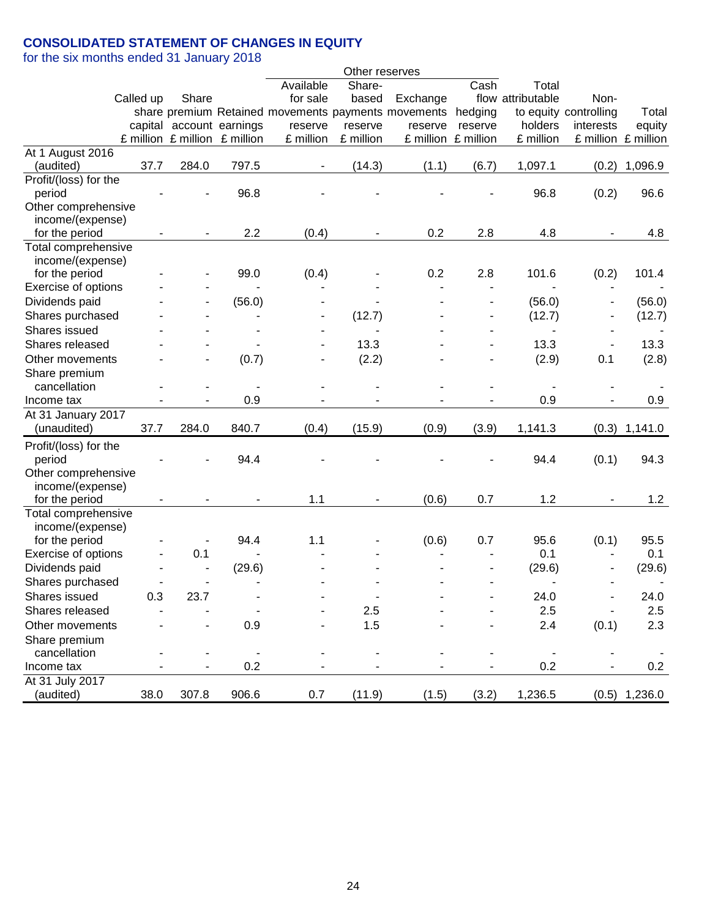## **CONSOLIDATED STATEMENT OF CHANGES IN EQUITY**

|                       |           |       |                               |                                                     | Other reserves |                     |         |                   |                       |                 |
|-----------------------|-----------|-------|-------------------------------|-----------------------------------------------------|----------------|---------------------|---------|-------------------|-----------------------|-----------------|
|                       |           |       |                               | Available                                           | Share-         |                     | Cash    | Total             |                       |                 |
|                       | Called up | Share |                               | for sale                                            | based          | Exchange            |         | flow attributable | Non-                  |                 |
|                       |           |       |                               | share premium Retained movements payments movements |                |                     | hedging |                   | to equity controlling | Total           |
|                       |           |       | capital account earnings      | reserve                                             | reserve        | reserve             | reserve | holders           | interests             | equity          |
|                       |           |       | £ million £ million £ million | £ million                                           | £ million      | £ million £ million |         | £ million         | £ million £ million   |                 |
| At 1 August 2016      |           |       |                               |                                                     |                |                     |         |                   |                       |                 |
| (audited)             | 37.7      | 284.0 | 797.5                         |                                                     | (14.3)         | (1.1)               | (6.7)   | 1,097.1           | (0.2)                 | 1,096.9         |
| Profit/(loss) for the |           |       |                               |                                                     |                |                     |         |                   |                       |                 |
| period                |           |       | 96.8                          |                                                     |                |                     |         | 96.8              | (0.2)                 | 96.6            |
| Other comprehensive   |           |       |                               |                                                     |                |                     |         |                   |                       |                 |
| income/(expense)      |           |       |                               |                                                     |                |                     |         |                   |                       |                 |
| for the period        |           |       | 2.2                           | (0.4)                                               |                | 0.2                 | 2.8     | 4.8               |                       | 4.8             |
| Total comprehensive   |           |       |                               |                                                     |                |                     |         |                   |                       |                 |
| income/(expense)      |           |       |                               |                                                     |                |                     |         |                   |                       |                 |
| for the period        |           |       | 99.0                          | (0.4)                                               |                | 0.2                 | 2.8     | 101.6             | (0.2)                 | 101.4           |
| Exercise of options   |           |       |                               |                                                     |                |                     |         |                   |                       |                 |
| Dividends paid        |           |       | (56.0)                        |                                                     |                |                     |         | (56.0)            |                       | (56.0)          |
| Shares purchased      |           |       |                               |                                                     | (12.7)         |                     |         | (12.7)            |                       | (12.7)          |
| Shares issued         |           |       |                               |                                                     |                |                     |         |                   |                       |                 |
| Shares released       |           |       |                               |                                                     | 13.3           |                     |         | 13.3              |                       | 13.3            |
| Other movements       |           |       | (0.7)                         |                                                     | (2.2)          |                     |         | (2.9)             | 0.1                   | (2.8)           |
| Share premium         |           |       |                               |                                                     |                |                     |         |                   |                       |                 |
| cancellation          |           |       |                               |                                                     |                |                     |         |                   |                       |                 |
| Income tax            |           |       | 0.9                           |                                                     |                |                     |         | 0.9               |                       | 0.9             |
| At 31 January 2017    |           |       |                               |                                                     |                |                     |         |                   |                       |                 |
| (unaudited)           | 37.7      | 284.0 | 840.7                         | (0.4)                                               | (15.9)         | (0.9)               | (3.9)   | 1,141.3           | (0.3)                 | 1,141.0         |
| Profit/(loss) for the |           |       |                               |                                                     |                |                     |         |                   |                       |                 |
| period                |           |       | 94.4                          |                                                     |                |                     |         | 94.4              | (0.1)                 | 94.3            |
| Other comprehensive   |           |       |                               |                                                     |                |                     |         |                   |                       |                 |
| income/(expense)      |           |       |                               |                                                     |                |                     |         |                   |                       |                 |
| for the period        |           |       | $\overline{\phantom{a}}$      | 1.1                                                 |                | (0.6)               | 0.7     | 1.2               |                       | 1.2             |
| Total comprehensive   |           |       |                               |                                                     |                |                     |         |                   |                       |                 |
| income/(expense)      |           |       |                               |                                                     |                |                     |         |                   |                       |                 |
| for the period        |           |       | 94.4                          | 1.1                                                 |                | (0.6)               | 0.7     | 95.6              | (0.1)                 | 95.5            |
| Exercise of options   |           | 0.1   |                               |                                                     |                |                     |         | 0.1               |                       | 0.1             |
| Dividends paid        |           |       | (29.6)                        |                                                     |                |                     |         | (29.6)            |                       | (29.6)          |
| Shares purchased      |           |       |                               |                                                     |                |                     |         |                   |                       |                 |
| Shares issued         | 0.3       | 23.7  |                               |                                                     |                |                     |         | 24.0              |                       | 24.0            |
| Shares released       |           |       |                               |                                                     | 2.5            |                     |         | 2.5               |                       | 2.5             |
| Other movements       |           |       | 0.9                           |                                                     | 1.5            |                     |         | 2.4               | (0.1)                 | 2.3             |
| Share premium         |           |       |                               |                                                     |                |                     |         |                   |                       |                 |
| cancellation          |           |       |                               |                                                     |                |                     |         |                   |                       |                 |
| Income tax            |           |       | 0.2                           |                                                     |                |                     |         | 0.2               |                       | 0.2             |
| At 31 July 2017       |           |       |                               |                                                     |                |                     |         |                   |                       |                 |
| (audited)             | 38.0      | 307.8 | 906.6                         | 0.7                                                 | (11.9)         | (1.5)               | (3.2)   | 1,236.5           |                       | $(0.5)$ 1,236.0 |
|                       |           |       |                               |                                                     |                |                     |         |                   |                       |                 |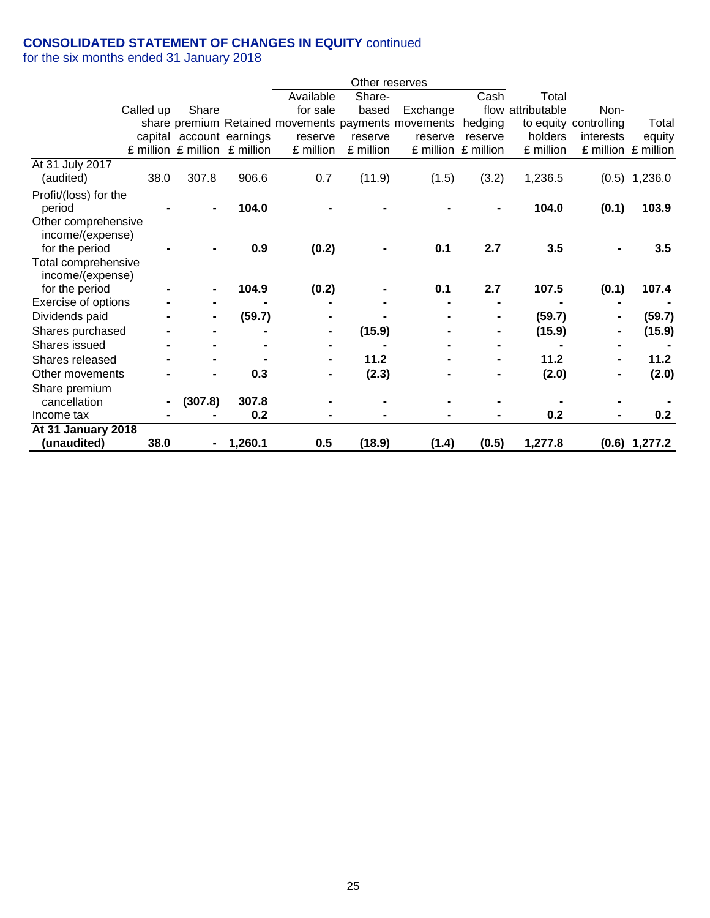## **CONSOLIDATED STATEMENT OF CHANGES IN EQUITY** continued

|                       |           |         |                               |           | Other reserves |                                                     |                     |                   |                       |                     |
|-----------------------|-----------|---------|-------------------------------|-----------|----------------|-----------------------------------------------------|---------------------|-------------------|-----------------------|---------------------|
|                       |           |         |                               | Available | Share-         |                                                     | Cash                | Total             |                       |                     |
|                       | Called up | Share   |                               | for sale  | based          | Exchange                                            |                     | flow attributable | Non-                  |                     |
|                       |           |         |                               |           |                | share premium Retained movements payments movements | hedging             |                   | to equity controlling | Total               |
|                       |           |         | capital account earnings      | reserve   | reserve        | reserve                                             | reserve             | holders           | interests             | equity              |
|                       |           |         | £ million £ million £ million | £ million | £ million      |                                                     | £ million £ million | £ million         |                       | £ million £ million |
| At 31 July 2017       |           |         |                               |           |                |                                                     |                     |                   |                       |                     |
| (audited)             | 38.0      | 307.8   | 906.6                         | 0.7       | (11.9)         | (1.5)                                               | (3.2)               | 1,236.5           | (0.5)                 | 1,236.0             |
| Profit/(loss) for the |           |         |                               |           |                |                                                     |                     |                   |                       |                     |
| period                |           |         | 104.0                         |           |                |                                                     |                     | 104.0             | (0.1)                 | 103.9               |
| Other comprehensive   |           |         |                               |           |                |                                                     |                     |                   |                       |                     |
| income/(expense)      |           |         |                               |           |                |                                                     |                     |                   |                       |                     |
| for the period        |           |         | 0.9                           | (0.2)     |                | 0.1                                                 | 2.7                 | 3.5               |                       | 3.5                 |
| Total comprehensive   |           |         |                               |           |                |                                                     |                     |                   |                       |                     |
| income/(expense)      |           |         |                               |           |                |                                                     |                     |                   |                       |                     |
| for the period        |           |         | 104.9                         | (0.2)     |                | 0.1                                                 | 2.7                 | 107.5             | (0.1)                 | 107.4               |
| Exercise of options   |           |         |                               |           |                |                                                     |                     |                   |                       |                     |
| Dividends paid        |           |         | (59.7)                        |           |                |                                                     |                     | (59.7)            |                       | (59.7)              |
| Shares purchased      |           |         |                               |           | (15.9)         |                                                     |                     | (15.9)            |                       | (15.9)              |
| Shares issued         |           |         |                               |           |                |                                                     |                     |                   |                       |                     |
| Shares released       |           |         |                               |           | 11.2           |                                                     |                     | 11.2              |                       | 11.2                |
| Other movements       |           |         | 0.3                           |           | (2.3)          |                                                     |                     | (2.0)             |                       | (2.0)               |
| Share premium         |           |         |                               |           |                |                                                     |                     |                   |                       |                     |
| cancellation          |           | (307.8) | 307.8                         |           |                |                                                     |                     |                   |                       |                     |
| Income tax            |           |         | 0.2                           |           |                |                                                     |                     | 0.2               |                       | 0.2                 |
| At 31 January 2018    |           |         |                               |           |                |                                                     |                     |                   |                       |                     |
| (unaudited)           | 38.0      | ۰.      | 1,260.1                       | 0.5       | (18.9)         | (1.4)                                               | (0.5)               | 1,277.8           |                       | $(0.6)$ 1,277.2     |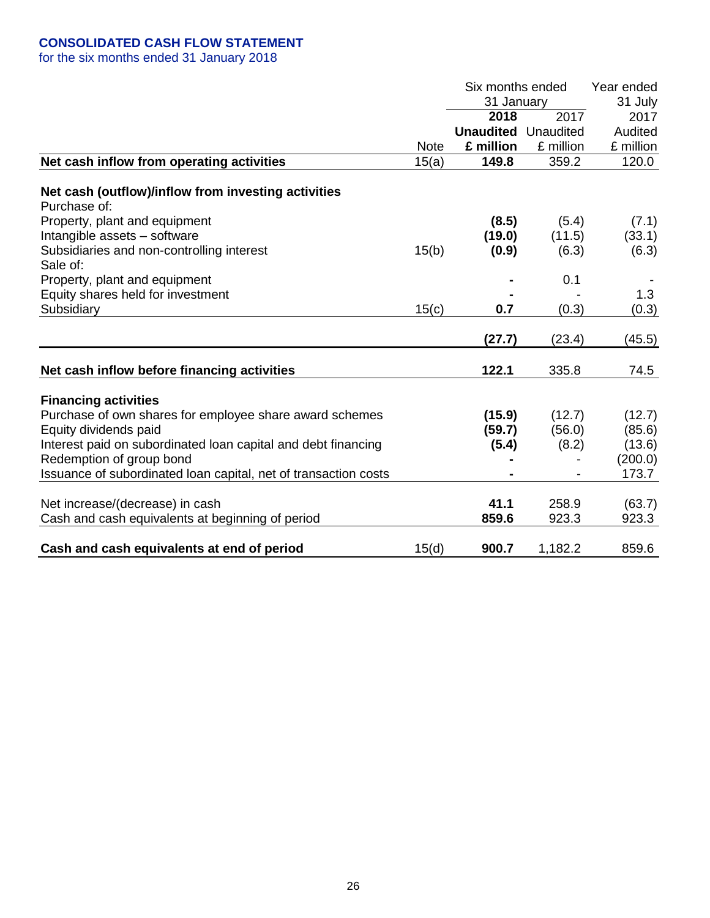## **CONSOLIDATED CASH FLOW STATEMENT**

|                                                                 |             | Six months ended           | Year ended |           |  |
|-----------------------------------------------------------------|-------------|----------------------------|------------|-----------|--|
|                                                                 |             |                            | 31 January |           |  |
|                                                                 |             | 2018                       | 2017       | 2017      |  |
|                                                                 |             | <b>Unaudited</b> Unaudited |            | Audited   |  |
|                                                                 | <b>Note</b> | £ million                  | £ million  | £ million |  |
| Net cash inflow from operating activities                       | 15(a)       | 149.8                      | 359.2      | 120.0     |  |
| Net cash (outflow)/inflow from investing activities             |             |                            |            |           |  |
| Purchase of:                                                    |             |                            |            |           |  |
| Property, plant and equipment                                   |             | (8.5)                      | (5.4)      | (7.1)     |  |
| Intangible assets - software                                    |             | (19.0)                     | (11.5)     | (33.1)    |  |
| Subsidiaries and non-controlling interest                       | 15(b)       | (0.9)                      | (6.3)      | (6.3)     |  |
| Sale of:                                                        |             |                            |            |           |  |
| Property, plant and equipment                                   |             |                            | 0.1        |           |  |
| Equity shares held for investment                               |             |                            |            | 1.3       |  |
| Subsidiary                                                      | 15(c)       | 0.7                        | (0.3)      | (0.3)     |  |
|                                                                 |             |                            |            |           |  |
|                                                                 |             | (27.7)                     | (23.4)     | (45.5)    |  |
|                                                                 |             |                            |            |           |  |
| Net cash inflow before financing activities                     |             | 122.1                      | 335.8      | 74.5      |  |
| <b>Financing activities</b>                                     |             |                            |            |           |  |
| Purchase of own shares for employee share award schemes         |             | (15.9)                     | (12.7)     | (12.7)    |  |
| Equity dividends paid                                           |             | (59.7)                     | (56.0)     | (85.6)    |  |
| Interest paid on subordinated loan capital and debt financing   |             | (5.4)                      | (8.2)      | (13.6)    |  |
| Redemption of group bond                                        |             |                            |            | (200.0)   |  |
| Issuance of subordinated loan capital, net of transaction costs |             |                            |            | 173.7     |  |
|                                                                 |             |                            |            |           |  |
| Net increase/(decrease) in cash                                 |             | 41.1                       | 258.9      | (63.7)    |  |
| Cash and cash equivalents at beginning of period                |             | 859.6                      | 923.3      | 923.3     |  |
| Cash and cash equivalents at end of period                      | 15(d)       | 900.7                      | 1,182.2    | 859.6     |  |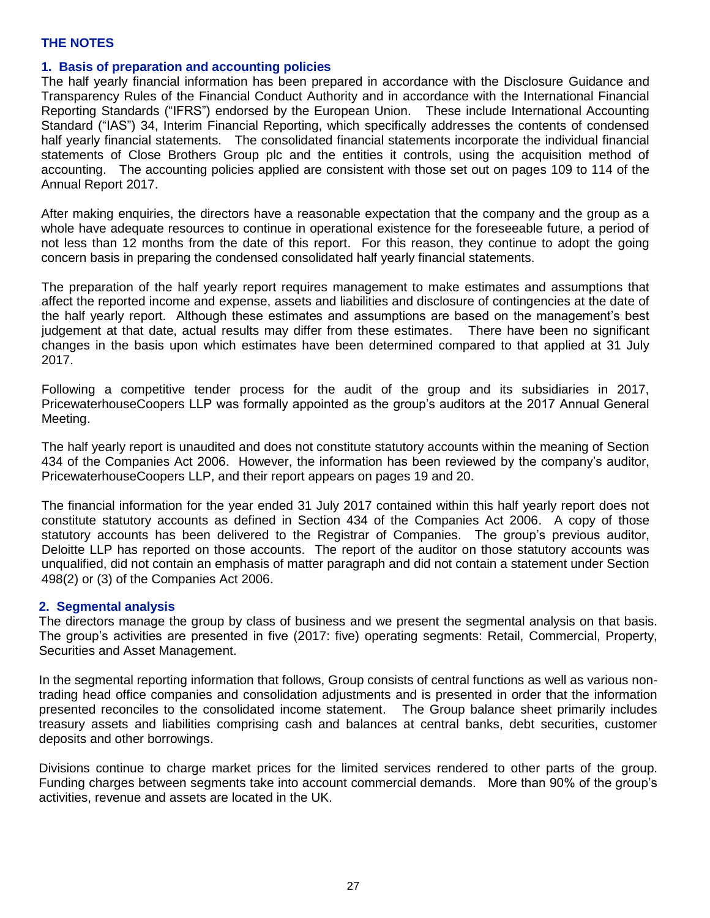### **1. Basis of preparation and accounting policies**

The half yearly financial information has been prepared in accordance with the Disclosure Guidance and Transparency Rules of the Financial Conduct Authority and in accordance with the International Financial Reporting Standards ("IFRS") endorsed by the European Union. These include International Accounting Standard ("IAS") 34, Interim Financial Reporting, which specifically addresses the contents of condensed half yearly financial statements. The consolidated financial statements incorporate the individual financial statements of Close Brothers Group plc and the entities it controls, using the acquisition method of accounting. The accounting policies applied are consistent with those set out on pages 109 to 114 of the Annual Report 2017.

After making enquiries, the directors have a reasonable expectation that the company and the group as a whole have adequate resources to continue in operational existence for the foreseeable future, a period of not less than 12 months from the date of this report. For this reason, they continue to adopt the going concern basis in preparing the condensed consolidated half yearly financial statements.

The preparation of the half yearly report requires management to make estimates and assumptions that affect the reported income and expense, assets and liabilities and disclosure of contingencies at the date of the half yearly report. Although these estimates and assumptions are based on the management's best judgement at that date, actual results may differ from these estimates. There have been no significant changes in the basis upon which estimates have been determined compared to that applied at 31 July 2017.

Following a competitive tender process for the audit of the group and its subsidiaries in 2017, PricewaterhouseCoopers LLP was formally appointed as the group's auditors at the 2017 Annual General Meeting.

The half yearly report is unaudited and does not constitute statutory accounts within the meaning of Section 434 of the Companies Act 2006. However, the information has been reviewed by the company's auditor, PricewaterhouseCoopers LLP, and their report appears on pages 19 and 20.

The financial information for the year ended 31 July 2017 contained within this half yearly report does not constitute statutory accounts as defined in Section 434 of the Companies Act 2006. A copy of those statutory accounts has been delivered to the Registrar of Companies. The group's previous auditor, Deloitte LLP has reported on those accounts. The report of the auditor on those statutory accounts was unqualified, did not contain an emphasis of matter paragraph and did not contain a statement under Section 498(2) or (3) of the Companies Act 2006.

#### **2. Segmental analysis**

The directors manage the group by class of business and we present the segmental analysis on that basis. The group's activities are presented in five (2017: five) operating segments: Retail, Commercial, Property, Securities and Asset Management.

In the segmental reporting information that follows, Group consists of central functions as well as various nontrading head office companies and consolidation adjustments and is presented in order that the information presented reconciles to the consolidated income statement. The Group balance sheet primarily includes treasury assets and liabilities comprising cash and balances at central banks, debt securities, customer deposits and other borrowings.

Divisions continue to charge market prices for the limited services rendered to other parts of the group. Funding charges between segments take into account commercial demands. More than 90% of the group's activities, revenue and assets are located in the UK.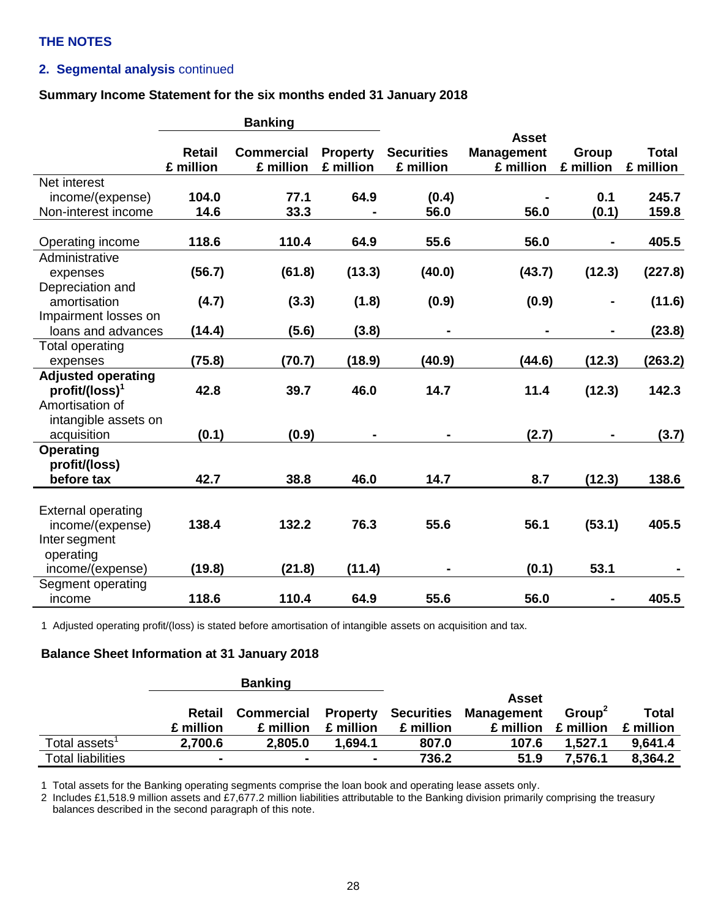## **2. Segmental analysis** continued

#### **Summary Income Statement for the six months ended 31 January 2018**

|                           | <b>Banking</b> |                   |                 |                   |                   |                |              |  |
|---------------------------|----------------|-------------------|-----------------|-------------------|-------------------|----------------|--------------|--|
|                           |                |                   |                 |                   | <b>Asset</b>      |                |              |  |
|                           | <b>Retail</b>  | <b>Commercial</b> | <b>Property</b> | <b>Securities</b> | <b>Management</b> | Group          | <b>Total</b> |  |
|                           | £ million      | £ million         | £ million       | £ million         | £ million         | £ million      | £ million    |  |
| Net interest              |                |                   |                 |                   |                   |                |              |  |
| income/(expense)          | 104.0          | 77.1              | 64.9            | (0.4)             |                   | 0.1            | 245.7        |  |
| Non-interest income       | 14.6           | 33.3              |                 | 56.0              | 56.0              | (0.1)          | 159.8        |  |
| Operating income          | 118.6          | 110.4             | 64.9            | 55.6              | 56.0              |                | 405.5        |  |
| Administrative            |                |                   |                 |                   |                   |                |              |  |
| expenses                  | (56.7)         | (61.8)            | (13.3)          | (40.0)            | (43.7)            | (12.3)         | (227.8)      |  |
| Depreciation and          |                |                   |                 |                   |                   |                |              |  |
| amortisation              | (4.7)          | (3.3)             | (1.8)           | (0.9)             | (0.9)             |                | (11.6)       |  |
| Impairment losses on      |                |                   |                 |                   |                   |                |              |  |
| loans and advances        | (14.4)         | (5.6)             | (3.8)           | $\blacksquare$    |                   | $\blacksquare$ | (23.8)       |  |
| <b>Total operating</b>    |                |                   |                 |                   |                   |                |              |  |
| expenses                  | (75.8)         | (70.7)            | (18.9)          | (40.9)            | (44.6)            | (12.3)         | (263.2)      |  |
| <b>Adjusted operating</b> |                |                   |                 |                   |                   |                |              |  |
| $profit/(loss)^1$         | 42.8           | 39.7              | 46.0            | 14.7              | 11.4              | (12.3)         | 142.3        |  |
| Amortisation of           |                |                   |                 |                   |                   |                |              |  |
| intangible assets on      |                |                   |                 |                   |                   |                |              |  |
| acquisition               | (0.1)          | (0.9)             |                 |                   | (2.7)             |                | (3.7)        |  |
| <b>Operating</b>          |                |                   |                 |                   |                   |                |              |  |
| profit/(loss)             |                |                   |                 |                   |                   |                |              |  |
| before tax                | 42.7           | 38.8              | 46.0            | 14.7              | 8.7               | (12.3)         | 138.6        |  |
|                           |                |                   |                 |                   |                   |                |              |  |
| <b>External operating</b> |                |                   |                 |                   |                   |                |              |  |
| income/(expense)          | 138.4          | 132.2             | 76.3            | 55.6              | 56.1              | (53.1)         | 405.5        |  |
| Inter segment             |                |                   |                 |                   |                   |                |              |  |
| operating                 |                |                   |                 |                   |                   |                |              |  |
| income/(expense)          | (19.8)         | (21.8)            | (11.4)          |                   | (0.1)             | 53.1           |              |  |
| Segment operating         |                |                   |                 |                   |                   |                |              |  |
| income                    | 118.6          | 110.4             | 64.9            | 55.6              | 56.0              |                | 405.5        |  |

1 Adjusted operating profit/(loss) is stated before amortisation of intangible assets on acquisition and tax.

#### **Balance Sheet Information at 31 January 2018**

|                           |                | <b>Banking</b>    |                |                            |                   |                    |              |
|---------------------------|----------------|-------------------|----------------|----------------------------|-------------------|--------------------|--------------|
|                           |                |                   |                |                            | Asset             |                    |              |
|                           | Retail         | <b>Commercial</b> |                | <b>Property Securities</b> | <b>Management</b> | Group <sup>2</sup> | <b>Total</b> |
|                           | £ million      | £ million         | £ million      | £ million                  | £ million         | £ million          | £ million    |
| Total assets <sup>1</sup> | 2,700.6        | 2,805.0           | 1,694.1        | 807.0                      | 107.6             | 1,527.1            | 9,641.4      |
| <b>Total liabilities</b>  | $\blacksquare$ |                   | $\blacksquare$ | 736.2                      | 51.9              | 7,576.1            | 8.364.2      |

1 Total assets for the Banking operating segments comprise the loan book and operating lease assets only.

2 Includes £1,518.9 million assets and £7,677.2 million liabilities attributable to the Banking division primarily comprising the treasury balances described in the second paragraph of this note.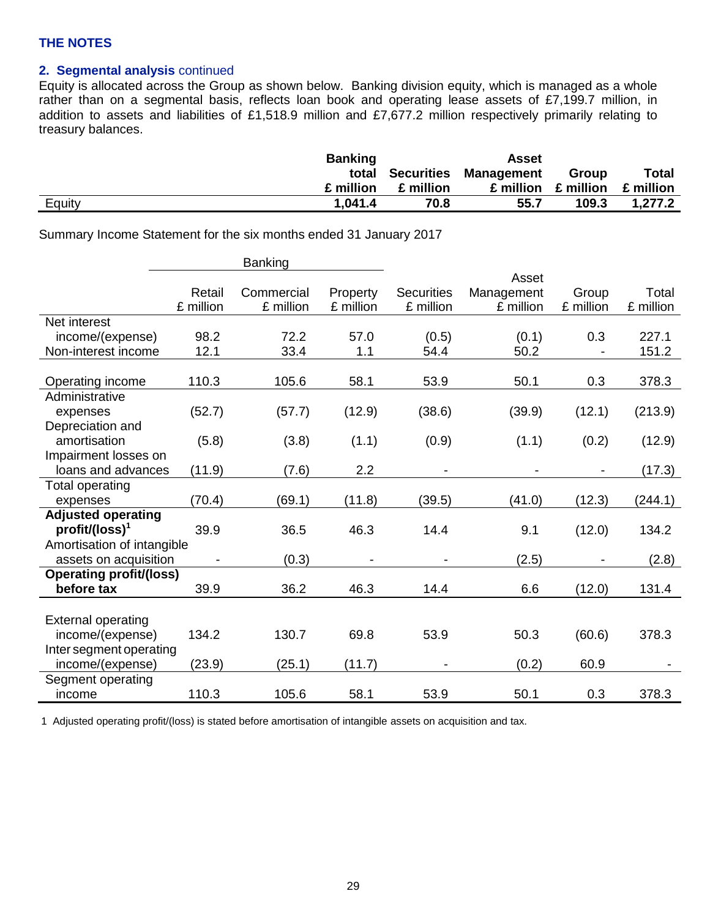## **2. Segmental analysis** continued

Equity is allocated across the Group as shown below. Banking division equity, which is managed as a whole rather than on a segmental basis, reflects loan book and operating lease assets of £7,199.7 million, in addition to assets and liabilities of £1,518.9 million and £7,677.2 million respectively primarily relating to treasury balances.

|        | <b>Banking</b> |           | Asset                       |                                     |              |
|--------|----------------|-----------|-----------------------------|-------------------------------------|--------------|
|        |                |           | total Securities Management | Group                               | <b>Total</b> |
|        | £ million      | £ million |                             | $£$ million $£$ million $£$ million |              |
| Equity | 1.041.4        | 70.8      | 55.7                        | 109.3                               | 1,277.2      |

Summary Income Statement for the six months ended 31 January 2017

|                                |           | <b>Banking</b> |           |                   |            |                          |           |
|--------------------------------|-----------|----------------|-----------|-------------------|------------|--------------------------|-----------|
|                                |           |                |           |                   | Asset      |                          |           |
|                                | Retail    | Commercial     | Property  | <b>Securities</b> | Management | Group                    | Total     |
|                                | £ million | £ million      | £ million | £ million         | £ million  | £ million                | £ million |
| Net interest                   |           |                |           |                   |            |                          |           |
| income/(expense)               | 98.2      | 72.2           | 57.0      | (0.5)             | (0.1)      | 0.3                      | 227.1     |
| Non-interest income            | 12.1      | 33.4           | 1.1       | 54.4              | 50.2       |                          | 151.2     |
|                                |           |                |           |                   |            |                          |           |
| Operating income               | 110.3     | 105.6          | 58.1      | 53.9              | 50.1       | 0.3                      | 378.3     |
| Administrative                 |           |                |           |                   |            |                          |           |
| expenses                       | (52.7)    | (57.7)         | (12.9)    | (38.6)            | (39.9)     | (12.1)                   | (213.9)   |
| Depreciation and               |           |                |           |                   |            |                          |           |
| amortisation                   | (5.8)     | (3.8)          | (1.1)     | (0.9)             | (1.1)      | (0.2)                    | (12.9)    |
| Impairment losses on           |           |                |           |                   |            |                          |           |
| loans and advances             | (11.9)    | (7.6)          | 2.2       |                   |            | $\overline{\phantom{a}}$ | (17.3)    |
| <b>Total operating</b>         |           |                |           |                   |            |                          |           |
| expenses                       | (70.4)    | (69.1)         | (11.8)    | (39.5)            | (41.0)     | (12.3)                   | (244.1)   |
| <b>Adjusted operating</b>      |           |                |           |                   |            |                          |           |
| $profit/(loss)^1$              | 39.9      | 36.5           | 46.3      | 14.4              | 9.1        | (12.0)                   | 134.2     |
| Amortisation of intangible     |           |                |           |                   |            |                          |           |
| assets on acquisition          |           | (0.3)          |           |                   | (2.5)      |                          | (2.8)     |
| <b>Operating profit/(loss)</b> |           |                |           |                   |            |                          |           |
| before tax                     | 39.9      | 36.2           | 46.3      | 14.4              | 6.6        | (12.0)                   | 131.4     |
|                                |           |                |           |                   |            |                          |           |
| <b>External operating</b>      |           |                |           |                   |            |                          |           |
| income/(expense)               | 134.2     | 130.7          | 69.8      | 53.9              | 50.3       | (60.6)                   | 378.3     |
| Inter segment operating        |           |                |           |                   |            |                          |           |
| income/(expense)               | (23.9)    | (25.1)         | (11.7)    |                   | (0.2)      | 60.9                     |           |
| Segment operating              |           |                |           |                   |            |                          |           |
| income                         | 110.3     | 105.6          | 58.1      | 53.9              | 50.1       | 0.3                      | 378.3     |

1 Adjusted operating profit/(loss) is stated before amortisation of intangible assets on acquisition and tax.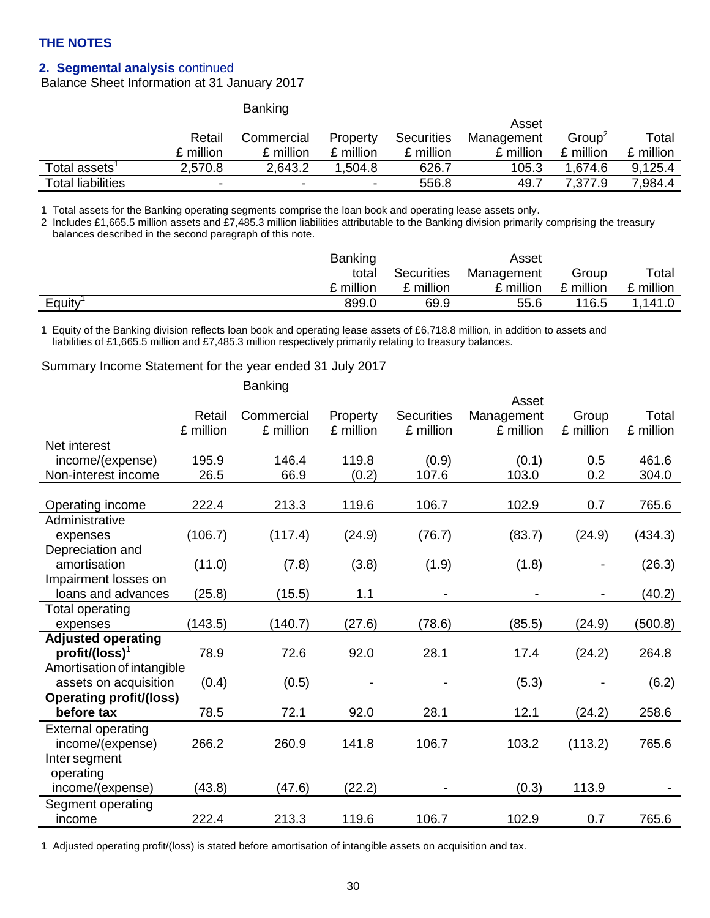## **2. Segmental analysis** continued

Balance Sheet Information at 31 January 2017

|                           |           | <b>Banking</b> |           |                   |            |                    |           |
|---------------------------|-----------|----------------|-----------|-------------------|------------|--------------------|-----------|
|                           |           |                |           |                   | Asset      |                    |           |
|                           | Retail    | Commercial     | Property  | <b>Securities</b> | Management | Group <sup>2</sup> | Total     |
|                           | £ million | £ million      | £ million | £ million         | £ million  | £ million          | £ million |
| Total assets <sup>1</sup> | 2,570.8   | 2.643.2        | 1.504.8   | 626.7             | 105.3      | 1.674.6            | 9,125.4   |
| <b>Total liabilities</b>  | -         | -              | -         | 556.8             | 49.7       | 7,377.9            | 7,984.4   |

1 Total assets for the Banking operating segments comprise the loan book and operating lease assets only.

2 Includes £1,665.5 million assets and £7,485.3 million liabilities attributable to the Banking division primarily comprising the treasury balances described in the second paragraph of this note.

|        | <b>Banking</b> |                   | Asset      |           |           |
|--------|----------------|-------------------|------------|-----------|-----------|
|        | total          | <b>Securities</b> | Management | Group     | Total     |
|        | £ million      | £ million         | £ million  | £ million | £ million |
| Equity | 899.0          | 69.9              | 55.6       | 116.5     | 1,141.0   |

1 Equity of the Banking division reflects loan book and operating lease assets of £6,718.8 million, in addition to assets and liabilities of £1,665.5 million and £7,485.3 million respectively primarily relating to treasury balances.

#### Summary Income Statement for the year ended 31 July 2017

|                                |           | <b>Banking</b> |           |                   |            |                              |           |
|--------------------------------|-----------|----------------|-----------|-------------------|------------|------------------------------|-----------|
|                                |           |                |           |                   | Asset      |                              |           |
|                                | Retail    | Commercial     | Property  | <b>Securities</b> | Management | Group                        | Total     |
|                                | £ million | £ million      | £ million | £ million         | £ million  | £ million                    | £ million |
| Net interest                   |           |                |           |                   |            |                              |           |
| income/(expense)               | 195.9     | 146.4          | 119.8     | (0.9)             | (0.1)      | 0.5                          | 461.6     |
| Non-interest income            | 26.5      | 66.9           | (0.2)     | 107.6             | 103.0      | 0.2                          | 304.0     |
|                                |           |                |           |                   |            |                              |           |
| Operating income               | 222.4     | 213.3          | 119.6     | 106.7             | 102.9      | 0.7                          | 765.6     |
| Administrative                 |           |                |           |                   |            |                              |           |
| expenses                       | (106.7)   | (117.4)        | (24.9)    | (76.7)            | (83.7)     | (24.9)                       | (434.3)   |
| Depreciation and               |           |                |           |                   |            |                              |           |
| amortisation                   | (11.0)    | (7.8)          | (3.8)     | (1.9)             | (1.8)      | $\qquad \qquad \blacksquare$ | (26.3)    |
| Impairment losses on           |           |                |           |                   |            |                              |           |
| loans and advances             | (25.8)    | (15.5)         | 1.1       |                   |            | $\overline{\phantom{a}}$     | (40.2)    |
| <b>Total operating</b>         |           |                |           |                   |            |                              |           |
| expenses                       | (143.5)   | (140.7)        | (27.6)    | (78.6)            | (85.5)     | (24.9)                       | (500.8)   |
| <b>Adjusted operating</b>      |           |                |           |                   |            |                              |           |
| $profit/ (loss)^1$             | 78.9      | 72.6           | 92.0      | 28.1              | 17.4       | (24.2)                       | 264.8     |
| Amortisation of intangible     |           |                |           |                   |            |                              |           |
| assets on acquisition          | (0.4)     | (0.5)          |           |                   | (5.3)      |                              | (6.2)     |
| <b>Operating profit/(loss)</b> |           |                |           |                   |            |                              |           |
| before tax                     | 78.5      | 72.1           | 92.0      | 28.1              | 12.1       | (24.2)                       | 258.6     |
| <b>External operating</b>      |           |                |           |                   |            |                              |           |
| income/(expense)               | 266.2     | 260.9          | 141.8     | 106.7             | 103.2      | (113.2)                      | 765.6     |
| Inter segment                  |           |                |           |                   |            |                              |           |
| operating                      |           |                |           |                   |            |                              |           |
| income/(expense)               | (43.8)    | (47.6)         | (22.2)    |                   | (0.3)      | 113.9                        |           |
| Segment operating              |           |                |           |                   |            |                              |           |
| income                         | 222.4     | 213.3          | 119.6     | 106.7             | 102.9      | 0.7                          | 765.6     |

1 Adjusted operating profit/(loss) is stated before amortisation of intangible assets on acquisition and tax.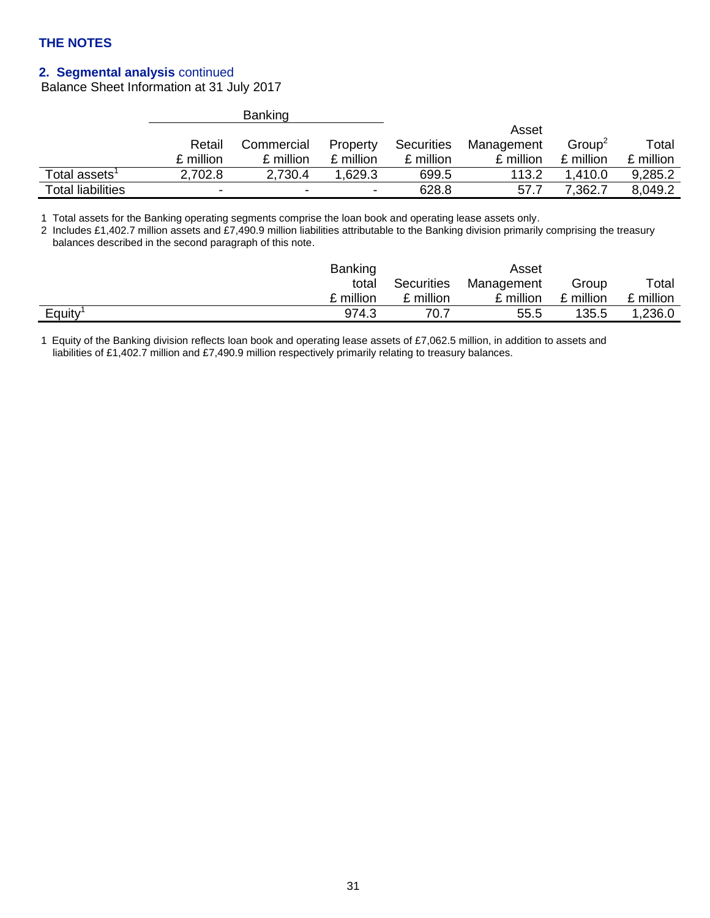## **2. Segmental analysis** continued

Balance Sheet Information at 31 July 2017

|                                                               |           | <b>Banking</b> |           |                   |            |                    |           |
|---------------------------------------------------------------|-----------|----------------|-----------|-------------------|------------|--------------------|-----------|
|                                                               |           |                |           |                   | Asset      |                    |           |
|                                                               | Retail    | Commercial     | Property  | <b>Securities</b> | Management | Group <sup>2</sup> | Total     |
|                                                               | £ million | £ million      | £ million | £ million         | £ million  | £ million          | £ million |
| Total assets $^{\scriptscriptstyle \rm \scriptscriptstyle 1}$ | 2,702.8   | 2,730.4        | 1.629.3   | 699.5             | 113.2      | 1.410.0            | 9,285.2   |
| <b>Total liabilities</b>                                      | -         | -              | ۰         | 628.8             | 57.7       | 7.362.7            | 8,049.2   |

1 Total assets for the Banking operating segments comprise the loan book and operating lease assets only.

2 Includes £1,402.7 million assets and £7,490.9 million liabilities attributable to the Banking division primarily comprising the treasury balances described in the second paragraph of this note.

| <b>Banking</b>  |            | Asset      |           |           |
|-----------------|------------|------------|-----------|-----------|
| total           | Securities | Management | Group     | Total     |
| £ million       | £ million  | £ million  | £ million | £ million |
| Equity<br>974.3 | 70.7       | 55.5       | 135.5     | 1,236.0   |

1 Equity of the Banking division reflects loan book and operating lease assets of £7,062.5 million, in addition to assets and liabilities of £1,402.7 million and £7,490.9 million respectively primarily relating to treasury balances.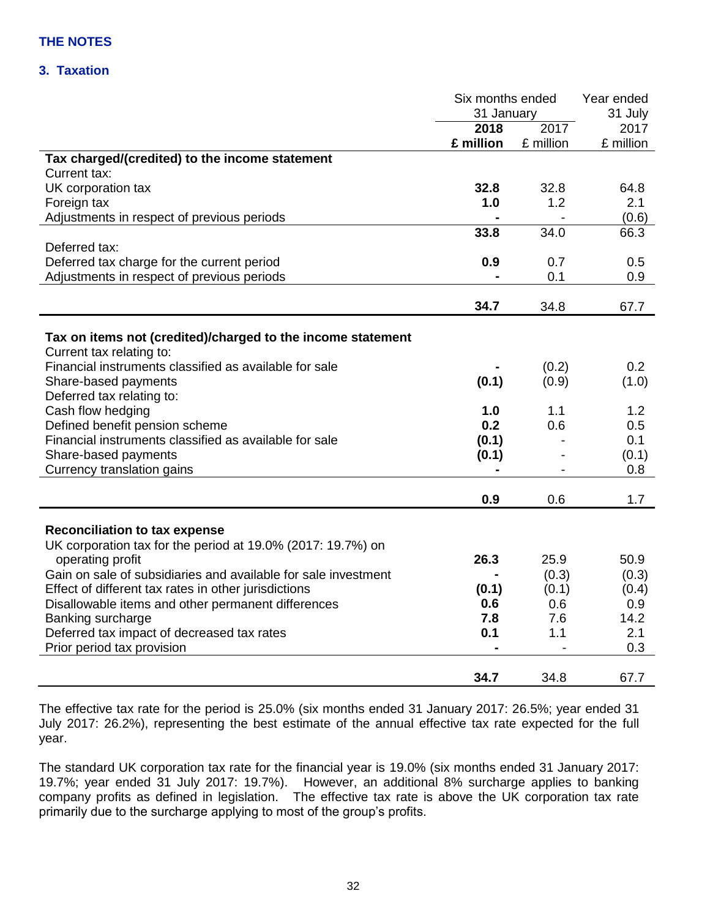## **3. Taxation**

|                                                                | Six months ended |                  | Year ended |
|----------------------------------------------------------------|------------------|------------------|------------|
|                                                                | 31 January       |                  | 31 July    |
|                                                                | 2018             | $\frac{1}{2017}$ | 2017       |
|                                                                | £ million        | £ million        | £ million  |
| Tax charged/(credited) to the income statement                 |                  |                  |            |
| Current tax:                                                   |                  |                  |            |
| UK corporation tax                                             | 32.8             | 32.8             | 64.8       |
| Foreign tax                                                    | 1.0              | 1.2              | 2.1        |
| Adjustments in respect of previous periods                     |                  |                  | (0.6)      |
|                                                                | 33.8             | 34.0             | 66.3       |
| Deferred tax:                                                  |                  |                  |            |
| Deferred tax charge for the current period                     | 0.9              | 0.7              | 0.5        |
| Adjustments in respect of previous periods                     |                  | 0.1              | 0.9        |
|                                                                |                  |                  |            |
|                                                                | 34.7             | 34.8             | 67.7       |
|                                                                |                  |                  |            |
| Tax on items not (credited)/charged to the income statement    |                  |                  |            |
| Current tax relating to:                                       |                  |                  |            |
| Financial instruments classified as available for sale         |                  | (0.2)            | 0.2        |
| Share-based payments                                           | (0.1)            | (0.9)            | (1.0)      |
| Deferred tax relating to:                                      |                  |                  |            |
| Cash flow hedging                                              | 1.0              | 1.1              | 1.2        |
| Defined benefit pension scheme                                 | 0.2              | 0.6              | 0.5        |
| Financial instruments classified as available for sale         | (0.1)            |                  | 0.1        |
| Share-based payments                                           | (0.1)            |                  | (0.1)      |
| Currency translation gains                                     |                  |                  | 0.8        |
|                                                                | 0.9              | 0.6              | 1.7        |
|                                                                |                  |                  |            |
| <b>Reconciliation to tax expense</b>                           |                  |                  |            |
| UK corporation tax for the period at 19.0% (2017: 19.7%) on    |                  |                  |            |
| operating profit                                               | 26.3             | 25.9             | 50.9       |
| Gain on sale of subsidiaries and available for sale investment |                  | (0.3)            | (0.3)      |
| Effect of different tax rates in other jurisdictions           | (0.1)            | (0.1)            | (0.4)      |
| Disallowable items and other permanent differences             | 0.6              | 0.6              | 0.9        |
| Banking surcharge                                              | 7.8              | 7.6              | 14.2       |
| Deferred tax impact of decreased tax rates                     | 0.1              | 1.1              | 2.1        |
| Prior period tax provision                                     |                  |                  | 0.3        |
|                                                                |                  |                  |            |
|                                                                | 34.7             | 34.8             | 67.7       |

The effective tax rate for the period is 25.0% (six months ended 31 January 2017: 26.5%; year ended 31 July 2017: 26.2%), representing the best estimate of the annual effective tax rate expected for the full year.

The standard UK corporation tax rate for the financial year is 19.0% (six months ended 31 January 2017: 19.7%; year ended 31 July 2017: 19.7%). However, an additional 8% surcharge applies to banking company profits as defined in legislation. The effective tax rate is above the UK corporation tax rate primarily due to the surcharge applying to most of the group's profits.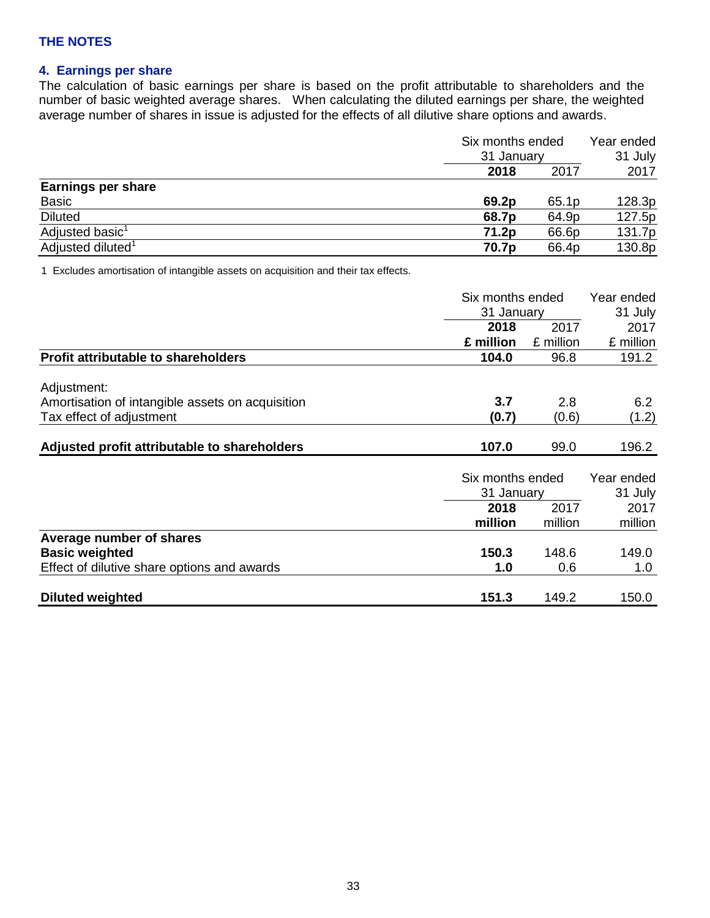## **4. Earnings per share**

The calculation of basic earnings per share is based on the profit attributable to shareholders and the number of basic weighted average shares. When calculating the diluted earnings per share, the weighted average number of shares in issue is adjusted for the effects of all dilutive share options and awards.

|                               | Six months ended<br>31 January |       | Year ended |  |
|-------------------------------|--------------------------------|-------|------------|--|
|                               |                                |       | 31 July    |  |
|                               | 2018                           | 2017  | 2017       |  |
| <b>Earnings per share</b>     |                                |       |            |  |
| Basic                         | 69.2p                          | 65.1p | 128.3p     |  |
| <b>Diluted</b>                | 68.7p                          | 64.9p | 127.5p     |  |
| Adjusted basic <sup>1</sup>   | 71.2p                          | 66.6p | 131.7p     |  |
| Adjusted diluted <sup>1</sup> | 70.7p                          | 66.4p | 130.8p     |  |

1 Excludes amortisation of intangible assets on acquisition and their tax effects.

|                                                  | Six months ended<br>31 January<br>2018<br>£ million<br>104.0<br>3.7<br>(0.7) |           | Year ended |
|--------------------------------------------------|------------------------------------------------------------------------------|-----------|------------|
|                                                  |                                                                              |           | 31 July    |
|                                                  |                                                                              | 2017      | 2017       |
|                                                  |                                                                              | £ million | £ million  |
| <b>Profit attributable to shareholders</b>       |                                                                              | 96.8      | 191.2      |
| Adjustment:                                      |                                                                              |           |            |
| Amortisation of intangible assets on acquisition |                                                                              | 2.8       | 6.2        |
| Tax effect of adjustment                         |                                                                              | (0.6)     | (1.2)      |
|                                                  |                                                                              |           |            |
| Adjusted profit attributable to shareholders     | 107.0                                                                        | 99.0      | 196.2      |
|                                                  |                                                                              |           |            |
|                                                  | Six months ended                                                             |           | Year ended |
|                                                  | 31 January                                                                   |           | 31 July    |
|                                                  | 2018                                                                         | 2017      | 2017       |
|                                                  | million                                                                      | million   | million    |
| Average number of shares                         |                                                                              |           |            |
| <b>Basic weighted</b>                            | 150.3                                                                        | 148.6     | 149.0      |
| Effect of dilutive share options and awards      | 1.0                                                                          | 0.6       | 1.0        |
|                                                  |                                                                              |           |            |
| <b>Diluted weighted</b>                          | 151.3                                                                        | 149.2     | 150.0      |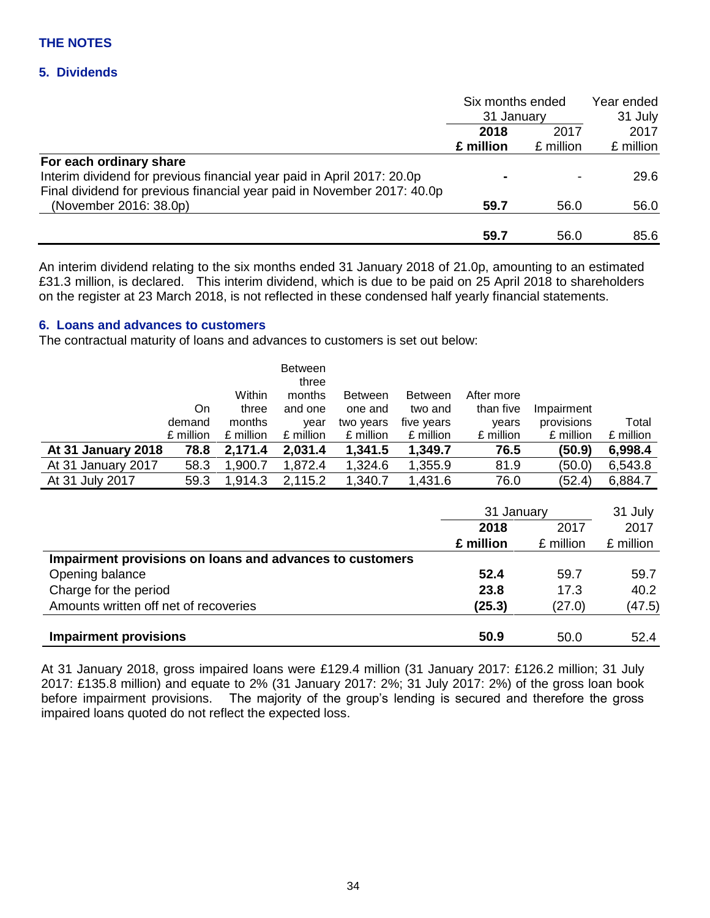### **5. Dividends**

|                                                                         | Six months ended<br>31 January |           | Year ended<br>31 July |
|-------------------------------------------------------------------------|--------------------------------|-----------|-----------------------|
|                                                                         | 2017<br>2018                   |           | 2017                  |
|                                                                         | £ million                      | £ million | £ million             |
| For each ordinary share                                                 |                                |           |                       |
| Interim dividend for previous financial year paid in April 2017: 20.0p  |                                |           | 29.6                  |
| Final dividend for previous financial year paid in November 2017: 40.0p |                                |           |                       |
| (November 2016: 38.0p)                                                  | 59.7                           | 56.0      | 56.0                  |
|                                                                         | 59.7                           | 56.0      | 85.6                  |

An interim dividend relating to the six months ended 31 January 2018 of 21.0p, amounting to an estimated £31.3 million, is declared. This interim dividend, which is due to be paid on 25 April 2018 to shareholders on the register at 23 March 2018, is not reflected in these condensed half yearly financial statements.

## **6. Loans and advances to customers**

The contractual maturity of loans and advances to customers is set out below:

|                    |           | Within    | Between<br>three<br>months | <b>Between</b> | <b>Between</b> | After more |            |           |
|--------------------|-----------|-----------|----------------------------|----------------|----------------|------------|------------|-----------|
|                    | On        | three     | and one                    | one and        | two and        | than five  | Impairment |           |
|                    | demand    | months    | year                       | two years      | five years     | years      | provisions | Total     |
|                    | £ million | £ million | £ million                  | £ million      | £ million      | £ million  | £ million  | £ million |
| At 31 January 2018 | 78.8      | 2,171.4   | 2,031.4                    | 1,341.5        | 1,349.7        | 76.5       | (50.9)     | 6,998.4   |
| At 31 January 2017 | 58.3      | 1,900.7   | 1,872.4                    | 1,324.6        | 1,355.9        | 81.9       | (50.0)     | 6,543.8   |
| At 31 July 2017    | 59.3      | 1,914.3   | 2,115.2                    | 1,340.7        | 1,431.6        | 76.0       | (52.4)     | 6,884.7   |

|                                                          | 31 January<br>2018<br>2017 | 31 July   |           |
|----------------------------------------------------------|----------------------------|-----------|-----------|
|                                                          |                            | 2017      |           |
|                                                          | £ million                  | £ million | £ million |
| Impairment provisions on loans and advances to customers |                            |           |           |
| Opening balance                                          | 52.4                       | 59.7      | 59.7      |
| Charge for the period                                    | 23.8                       | 17.3      | 40.2      |
| Amounts written off net of recoveries                    | (25.3)                     | (27.0)    | (47.5)    |
| <b>Impairment provisions</b>                             | 50.9                       | 50.0      | 52.4      |

At 31 January 2018, gross impaired loans were £129.4 million (31 January 2017: £126.2 million; 31 July 2017: £135.8 million) and equate to 2% (31 January 2017: 2%; 31 July 2017: 2%) of the gross loan book before impairment provisions. The majority of the group's lending is secured and therefore the gross impaired loans quoted do not reflect the expected loss.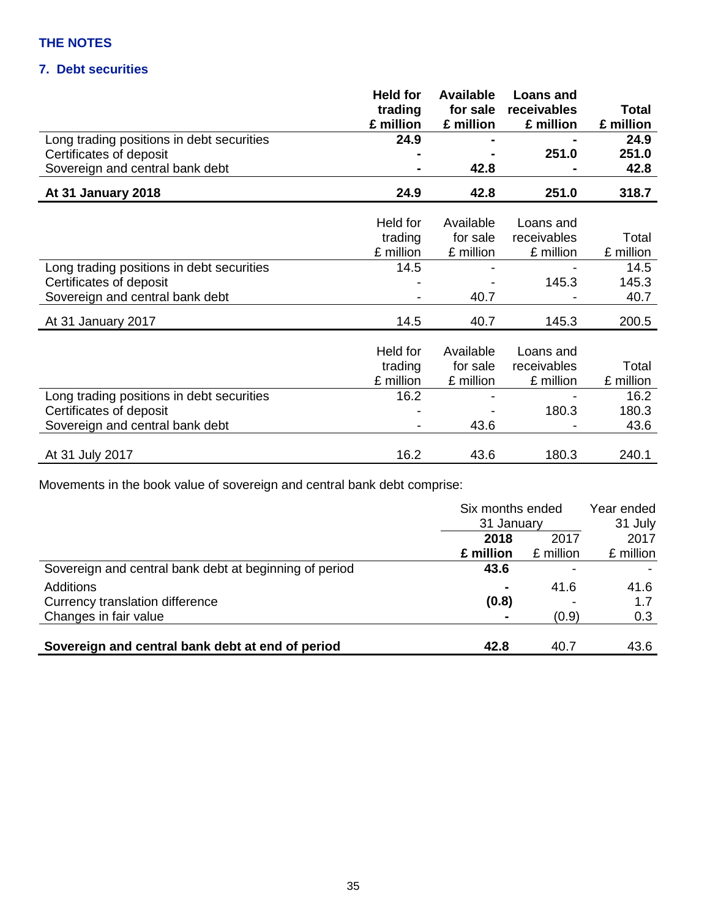## **7. Debt securities**

|                                           | <b>Held for</b><br>trading<br>£ million | Available<br>£ million | <b>Loans and</b><br>for sale receivables<br>£ million | Total<br>£ million |
|-------------------------------------------|-----------------------------------------|------------------------|-------------------------------------------------------|--------------------|
| Long trading positions in debt securities | 24.9                                    | $\blacksquare$         | $\blacksquare$                                        | 24.9               |
| Certificates of deposit                   | $\blacksquare$                          | $\blacksquare$         | 251.0                                                 | 251.0              |
| Sovereign and central bank debt           | $\blacksquare$                          | 42.8                   | $\blacksquare$                                        | 42.8               |
| At 31 January 2018                        | 24.9                                    | 42.8                   | 251.0                                                 | 318.7              |

|                                           | Held for<br>trading<br>£ million | Available<br>for sale<br>£ million | Loans and<br>receivables<br>£ million | Total<br>£ million |
|-------------------------------------------|----------------------------------|------------------------------------|---------------------------------------|--------------------|
| Long trading positions in debt securities | 14.5                             |                                    |                                       | 14.5               |
| Certificates of deposit                   |                                  |                                    | 145.3                                 | 145.3              |
| Sovereign and central bank debt           |                                  | 40.7                               |                                       | 40.7               |
| At 31 January 2017                        | 14.5                             | 40.7                               | 145.3                                 | 200.5              |
|                                           |                                  |                                    |                                       |                    |
|                                           | Held for                         | Available                          | Loans and                             |                    |
|                                           | trading                          | for sale                           | receivables                           | Total              |
|                                           | £ million                        | £ million                          | £ million                             | £ million          |
| Long trading positions in debt securities | 16.2                             |                                    |                                       | 16.2               |
| Certificates of deposit                   |                                  |                                    | 180.3                                 | 180.3              |
| Sovereign and central bank debt           |                                  | 43.6                               |                                       | 43.6               |
|                                           |                                  |                                    |                                       |                    |
| At 31 July 2017                           | 16.2                             | 43.6                               | 180.3                                 | 240.1              |

Movements in the book value of sovereign and central bank debt comprise:

|                                                        | Six months ended<br>31 January |           | Year ended<br>31 July |
|--------------------------------------------------------|--------------------------------|-----------|-----------------------|
|                                                        | 2018                           | 2017      | 2017                  |
|                                                        | £ million                      | £ million | £ million             |
| Sovereign and central bank debt at beginning of period | 43.6                           |           |                       |
| Additions                                              | $\blacksquare$                 | 41.6      | 41.6                  |
| Currency translation difference                        | (0.8)                          |           | 1.7                   |
| Changes in fair value                                  | $\blacksquare$                 | (0.9)     | 0.3                   |
|                                                        |                                |           |                       |
| Sovereign and central bank debt at end of period       | 42.8                           | 40.7      | 43.6                  |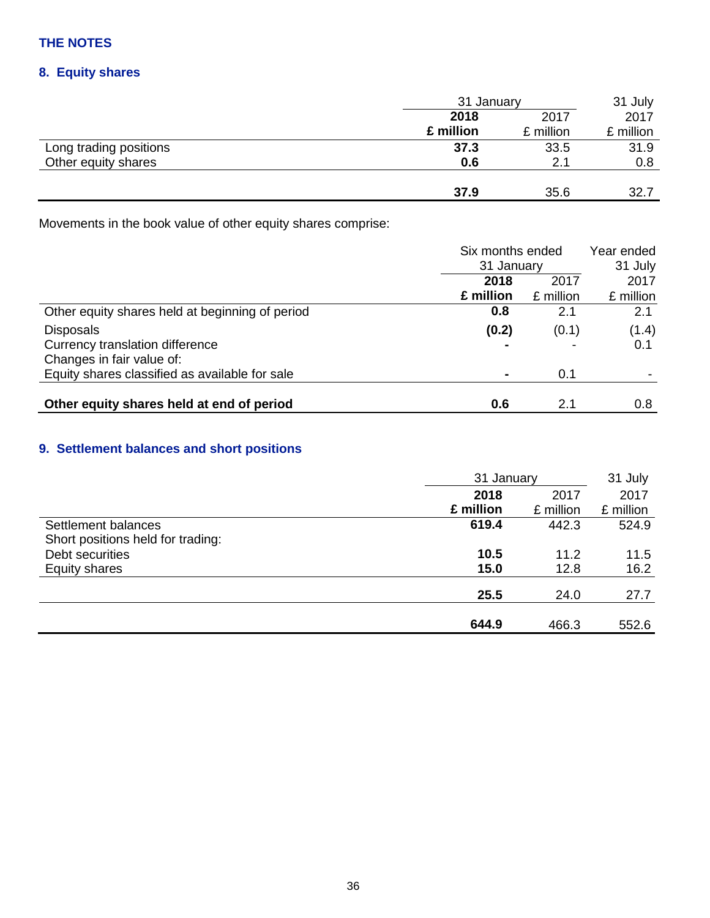## **8. Equity shares**

| 31 July   |
|-----------|
| 2017      |
| £ million |
| 31.9      |
| 0.8       |
|           |
| 32.7      |
|           |

Movements in the book value of other equity shares comprise:

|                                                 | Six months ended<br>31 January |           | Year ended |  |
|-------------------------------------------------|--------------------------------|-----------|------------|--|
|                                                 |                                |           | 31 July    |  |
|                                                 | 2018                           | 2017      | 2017       |  |
|                                                 | £ million                      | £ million | £ million  |  |
| Other equity shares held at beginning of period | 0.8                            | 2.1       | 2.1        |  |
| <b>Disposals</b>                                | (0.2)                          | (0.1)     | (1.4)      |  |
| Currency translation difference                 | -                              |           | 0.1        |  |
| Changes in fair value of:                       |                                |           |            |  |
| Equity shares classified as available for sale  | $\blacksquare$                 | 0.1       |            |  |
|                                                 |                                |           |            |  |
| Other equity shares held at end of period       | 0.6                            | 2.1       | 0.8        |  |

## **9. Settlement balances and short positions**

|                                   | 31 January |           | 31 July   |  |
|-----------------------------------|------------|-----------|-----------|--|
|                                   | 2018       | 2017      | 2017      |  |
|                                   | £ million  | £ million | £ million |  |
| Settlement balances               | 619.4      | 442.3     | 524.9     |  |
| Short positions held for trading: |            |           |           |  |
| Debt securities                   | 10.5       | 11.2      | 11.5      |  |
| Equity shares                     | 15.0       | 12.8      | 16.2      |  |
|                                   | 25.5       | 24.0      | 27.7      |  |
|                                   | 644.9      | 466.3     | 552.6     |  |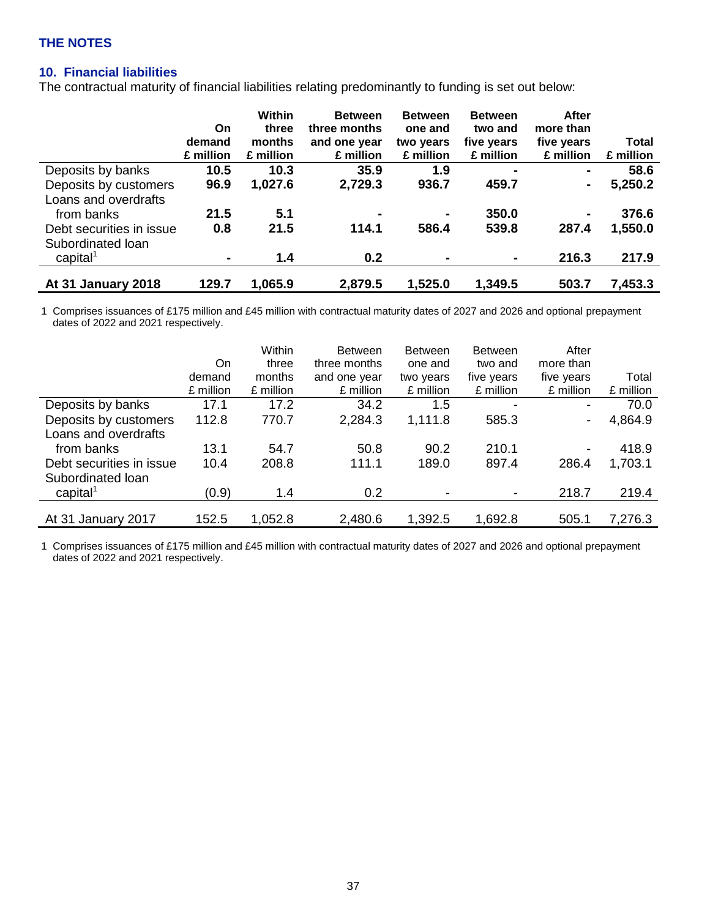## **10. Financial liabilities**

The contractual maturity of financial liabilities relating predominantly to funding is set out below:

|                           | On             | Within<br>three | <b>Between</b><br>three months | <b>Between</b><br>one and | <b>Between</b><br>two and | After<br>more than |              |
|---------------------------|----------------|-----------------|--------------------------------|---------------------------|---------------------------|--------------------|--------------|
|                           | demand         | months          | and one year                   | two years                 | five years                | five years         | <b>Total</b> |
|                           | £ million      | £ million       | £ million                      | £ million                 | £ million                 | £ million          | £ million    |
| Deposits by banks         | 10.5           | 10.3            | 35.9                           | 1.9                       | $\blacksquare$            |                    | 58.6         |
| Deposits by customers     | 96.9           | 1,027.6         | 2,729.3                        | 936.7                     | 459.7                     | $\blacksquare$     | 5,250.2      |
| Loans and overdrafts      |                |                 |                                |                           |                           |                    |              |
| from banks                | 21.5           | 5.1             | $\blacksquare$                 | $\blacksquare$            | 350.0                     |                    | 376.6        |
| Debt securities in issue  | 0.8            | 21.5            | 114.1                          | 586.4                     | 539.8                     | 287.4              | 1,550.0      |
| Subordinated Ioan         |                |                 |                                |                           |                           |                    |              |
| $capital^1$               | $\blacksquare$ | 1.4             | 0.2                            |                           | $\blacksquare$            | 216.3              | 217.9        |
| <b>At 31 January 2018</b> | 129.7          | 1,065.9         | 2,879.5                        | 1,525.0                   | 1,349.5                   | 503.7              | 7,453.3      |
|                           |                |                 |                                |                           |                           |                    |              |

1 Comprises issuances of £175 million and £45 million with contractual maturity dates of 2027 and 2026 and optional prepayment dates of 2022 and 2021 respectively.

|                          |           | Within    | <b>Between</b> | <b>Between</b> | <b>Between</b> | After                    |           |
|--------------------------|-----------|-----------|----------------|----------------|----------------|--------------------------|-----------|
|                          | On        | three     | three months   | one and        | two and        | more than                |           |
|                          | demand    | months    | and one year   | two years      | five years     | five years               | Total     |
|                          | £ million | £ million | £ million      | £ million      | £ million      | £ million                | £ million |
| Deposits by banks        | 17.1      | 17.2      | 34.2           | 1.5            |                | $\overline{\phantom{a}}$ | 70.0      |
| Deposits by customers    | 112.8     | 770.7     | 2,284.3        | 1,111.8        | 585.3          | $\overline{\phantom{a}}$ | 4,864.9   |
| Loans and overdrafts     |           |           |                |                |                |                          |           |
| from banks               | 13.1      | 54.7      | 50.8           | 90.2           | 210.1          | $\overline{\phantom{a}}$ | 418.9     |
| Debt securities in issue | 10.4      | 208.8     | 111.1          | 189.0          | 897.4          | 286.4                    | 1,703.1   |
| Subordinated Ioan        |           |           |                |                |                |                          |           |
| $c$ apital <sup>1</sup>  | (0.9)     | 1.4       | 0.2            | ۰              |                | 218.7                    | 219.4     |
|                          |           |           |                |                |                |                          |           |
| At 31 January 2017       | 152.5     | 1,052.8   | 2,480.6        | 1,392.5        | 1,692.8        | 505.1                    | 7,276.3   |

1 Comprises issuances of £175 million and £45 million with contractual maturity dates of 2027 and 2026 and optional prepayment dates of 2022 and 2021 respectively.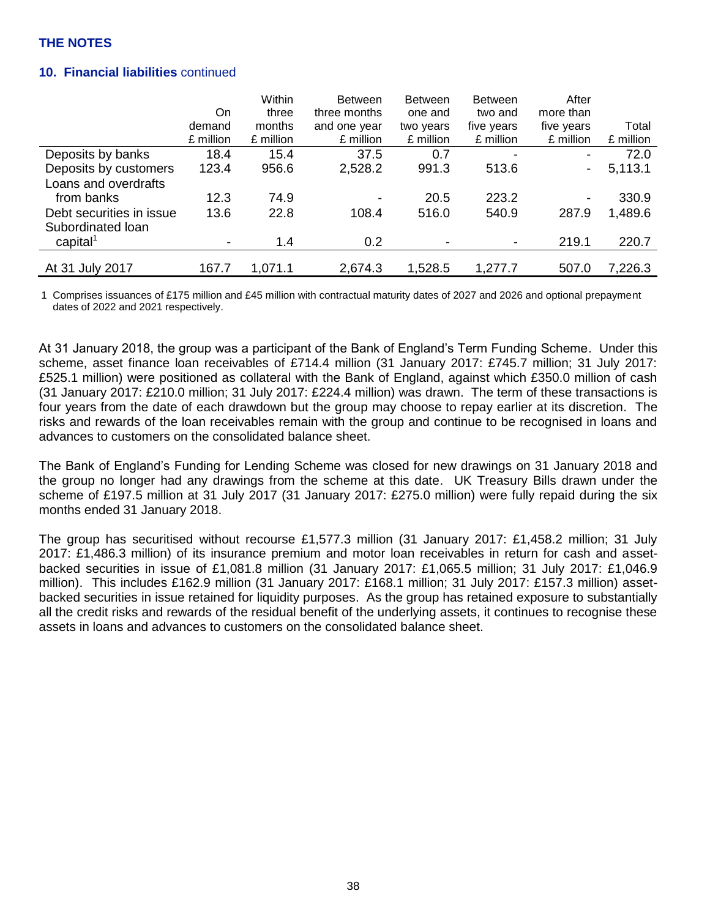## **10. Financial liabilities** continued

|                          |           | Within    | <b>Between</b> | <b>Between</b>           | <b>Between</b>           | After                    |           |
|--------------------------|-----------|-----------|----------------|--------------------------|--------------------------|--------------------------|-----------|
|                          | On        | three     | three months   | one and                  | two and                  | more than                |           |
|                          | demand    | months    | and one year   | two years                | five years               | five years               | Total     |
|                          | £ million | £ million | £ million      | £ million                | £ million                | £ million                | £ million |
| Deposits by banks        | 18.4      | 15.4      | 37.5           | 0.7                      | $\overline{\phantom{a}}$ | -                        | 72.0      |
| Deposits by customers    | 123.4     | 956.6     | 2,528.2        | 991.3                    | 513.6                    | -                        | 5,113.1   |
| Loans and overdrafts     |           |           |                |                          |                          |                          |           |
| from banks               | 12.3      | 74.9      |                | 20.5                     | 223.2                    | $\overline{\phantom{a}}$ | 330.9     |
| Debt securities in issue | 13.6      | 22.8      | 108.4          | 516.0                    | 540.9                    | 287.9                    | 1,489.6   |
| Subordinated loan        |           |           |                |                          |                          |                          |           |
| capital <sup>1</sup>     |           | 1.4       | 0.2            | $\overline{\phantom{0}}$ | $\overline{\phantom{a}}$ | 219.1                    | 220.7     |
|                          |           |           |                |                          |                          |                          |           |
| At 31 July 2017          | 167.7     | 1,071.1   | 2,674.3        | 1,528.5                  | 1,277.7                  | 507.0                    | 7,226.3   |

1 Comprises issuances of £175 million and £45 million with contractual maturity dates of 2027 and 2026 and optional prepayment dates of 2022 and 2021 respectively.

At 31 January 2018, the group was a participant of the Bank of England's Term Funding Scheme. Under this scheme, asset finance loan receivables of £714.4 million (31 January 2017: £745.7 million; 31 July 2017: £525.1 million) were positioned as collateral with the Bank of England, against which £350.0 million of cash (31 January 2017: £210.0 million; 31 July 2017: £224.4 million) was drawn. The term of these transactions is four years from the date of each drawdown but the group may choose to repay earlier at its discretion. The risks and rewards of the loan receivables remain with the group and continue to be recognised in loans and advances to customers on the consolidated balance sheet.

The Bank of England's Funding for Lending Scheme was closed for new drawings on 31 January 2018 and the group no longer had any drawings from the scheme at this date. UK Treasury Bills drawn under the scheme of £197.5 million at 31 July 2017 (31 January 2017: £275.0 million) were fully repaid during the six months ended 31 January 2018.

The group has securitised without recourse £1,577.3 million (31 January 2017: £1,458.2 million; 31 July 2017: £1,486.3 million) of its insurance premium and motor loan receivables in return for cash and assetbacked securities in issue of £1,081.8 million (31 January 2017: £1,065.5 million; 31 July 2017: £1,046.9 million). This includes £162.9 million (31 January 2017: £168.1 million; 31 July 2017: £157.3 million) assetbacked securities in issue retained for liquidity purposes. As the group has retained exposure to substantially all the credit risks and rewards of the residual benefit of the underlying assets, it continues to recognise these assets in loans and advances to customers on the consolidated balance sheet.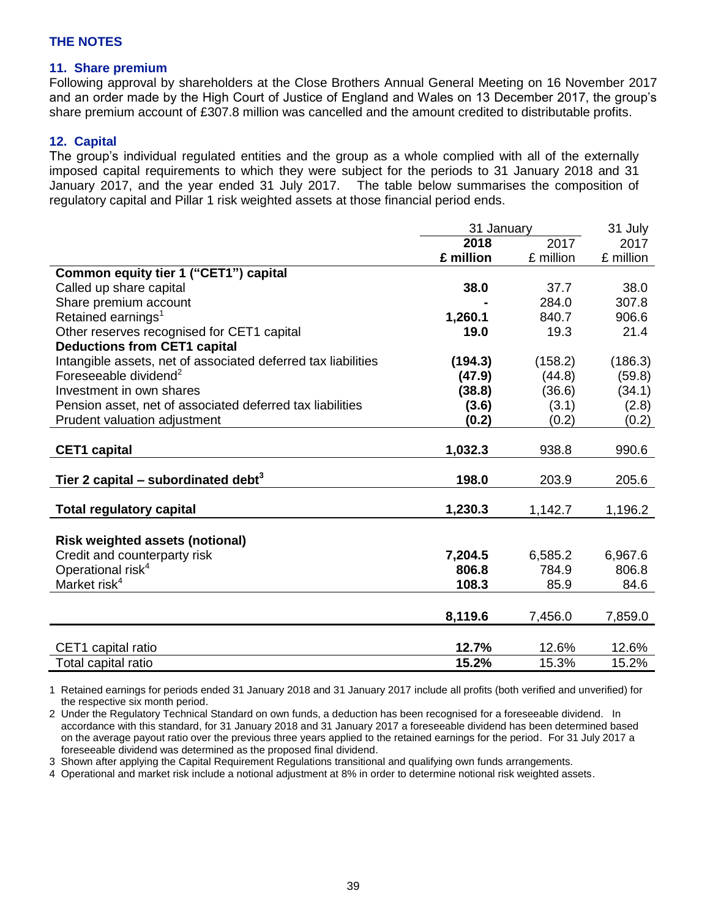#### **11. Share premium**

Following approval by shareholders at the Close Brothers Annual General Meeting on 16 November 2017 and an order made by the High Court of Justice of England and Wales on 13 December 2017, the group's share premium account of £307.8 million was cancelled and the amount credited to distributable profits.

#### **12. Capital**

The group's individual regulated entities and the group as a whole complied with all of the externally imposed capital requirements to which they were subject for the periods to 31 January 2018 and 31 January 2017, and the year ended 31 July 2017. The table below summarises the composition of regulatory capital and Pillar 1 risk weighted assets at those financial period ends.

|                                                               | 31 January |           | 31 July   |
|---------------------------------------------------------------|------------|-----------|-----------|
|                                                               | 2018       | 2017      | 2017      |
|                                                               | £ million  | £ million | £ million |
| Common equity tier 1 ("CET1") capital                         |            |           |           |
| Called up share capital                                       | 38.0       | 37.7      | 38.0      |
| Share premium account                                         |            | 284.0     | 307.8     |
| Retained earnings <sup>1</sup>                                | 1,260.1    | 840.7     | 906.6     |
| Other reserves recognised for CET1 capital                    | 19.0       | 19.3      | 21.4      |
| <b>Deductions from CET1 capital</b>                           |            |           |           |
| Intangible assets, net of associated deferred tax liabilities | (194.3)    | (158.2)   | (186.3)   |
| Foreseeable dividend <sup>2</sup>                             | (47.9)     | (44.8)    | (59.8)    |
| Investment in own shares                                      | (38.8)     | (36.6)    | (34.1)    |
| Pension asset, net of associated deferred tax liabilities     | (3.6)      | (3.1)     | (2.8)     |
| Prudent valuation adjustment                                  | (0.2)      | (0.2)     | (0.2)     |
|                                                               |            |           |           |
| <b>CET1</b> capital                                           | 1,032.3    | 938.8     | 990.6     |
|                                                               |            |           |           |
| Tier 2 capital – subordinated debt <sup>3</sup>               | 198.0      | 203.9     | 205.6     |
|                                                               |            |           |           |
| <b>Total regulatory capital</b>                               | 1,230.3    | 1,142.7   | 1,196.2   |
|                                                               |            |           |           |
| <b>Risk weighted assets (notional)</b>                        |            |           |           |
| Credit and counterparty risk                                  | 7,204.5    | 6,585.2   | 6,967.6   |
| Operational risk <sup>4</sup>                                 | 806.8      | 784.9     | 806.8     |
| Market risk <sup>4</sup>                                      | 108.3      | 85.9      | 84.6      |
|                                                               |            |           |           |
|                                                               | 8,119.6    | 7,456.0   | 7,859.0   |
|                                                               |            |           |           |
| CET1 capital ratio                                            | 12.7%      | 12.6%     | 12.6%     |
| Total capital ratio                                           | 15.2%      | 15.3%     | 15.2%     |

1 Retained earnings for periods ended 31 January 2018 and 31 January 2017 include all profits (both verified and unverified) for the respective six month period.

2 Under the Regulatory Technical Standard on own funds, a deduction has been recognised for a foreseeable dividend. In accordance with this standard, for 31 January 2018 and 31 January 2017 a foreseeable dividend has been determined based on the average payout ratio over the previous three years applied to the retained earnings for the period. For 31 July 2017 a foreseeable dividend was determined as the proposed final dividend.

3 Shown after applying the Capital Requirement Regulations transitional and qualifying own funds arrangements.

4 Operational and market risk include a notional adjustment at 8% in order to determine notional risk weighted assets.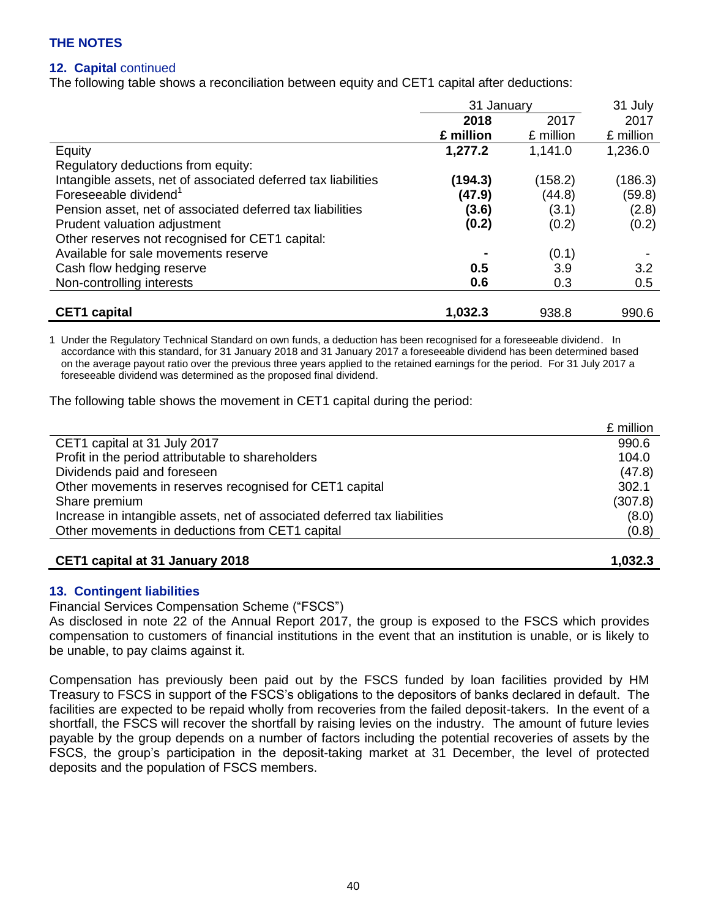## **12. Capital** continued

The following table shows a reconciliation between equity and CET1 capital after deductions:

|                                                               | 31 January |           | 31 July   |
|---------------------------------------------------------------|------------|-----------|-----------|
|                                                               | 2018       | 2017      | 2017      |
|                                                               | £ million  | £ million | £ million |
| Equity                                                        | 1,277.2    | 1,141.0   | 1,236.0   |
| Regulatory deductions from equity:                            |            |           |           |
| Intangible assets, net of associated deferred tax liabilities | (194.3)    | (158.2)   | (186.3)   |
| Foreseeable dividend <sup>1</sup>                             | (47.9)     | (44.8)    | (59.8)    |
| Pension asset, net of associated deferred tax liabilities     | (3.6)      | (3.1)     | (2.8)     |
| Prudent valuation adjustment                                  | (0.2)      | (0.2)     | (0.2)     |
| Other reserves not recognised for CET1 capital:               |            |           |           |
| Available for sale movements reserve                          |            | (0.1)     |           |
| Cash flow hedging reserve                                     | 0.5        | 3.9       | 3.2       |
| Non-controlling interests                                     | 0.6        | 0.3       | 0.5       |
|                                                               |            |           |           |
| <b>CET1</b> capital                                           | 1,032.3    | 938.8     | 990.6     |

1 Under the Regulatory Technical Standard on own funds, a deduction has been recognised for a foreseeable dividend. In accordance with this standard, for 31 January 2018 and 31 January 2017 a foreseeable dividend has been determined based on the average payout ratio over the previous three years applied to the retained earnings for the period. For 31 July 2017 a foreseeable dividend was determined as the proposed final dividend.

The following table shows the movement in CET1 capital during the period:

|                                                                           | £ million |
|---------------------------------------------------------------------------|-----------|
| CET1 capital at 31 July 2017                                              | 990.6     |
| Profit in the period attributable to shareholders                         | 104.0     |
| Dividends paid and foreseen                                               | (47.8)    |
| Other movements in reserves recognised for CET1 capital                   | 302.1     |
| Share premium                                                             | (307.8)   |
| Increase in intangible assets, net of associated deferred tax liabilities | (8.0)     |
| Other movements in deductions from CET1 capital                           | (0.8)     |
|                                                                           |           |

## **CET1 capital at 31 January 2018 1,032.3**

#### **13. Contingent liabilities**

Financial Services Compensation Scheme ("FSCS")

As disclosed in note 22 of the Annual Report 2017, the group is exposed to the FSCS which provides compensation to customers of financial institutions in the event that an institution is unable, or is likely to be unable, to pay claims against it.

Compensation has previously been paid out by the FSCS funded by loan facilities provided by HM Treasury to FSCS in support of the FSCS's obligations to the depositors of banks declared in default. The facilities are expected to be repaid wholly from recoveries from the failed deposit-takers. In the event of a shortfall, the FSCS will recover the shortfall by raising levies on the industry. The amount of future levies payable by the group depends on a number of factors including the potential recoveries of assets by the FSCS, the group's participation in the deposit-taking market at 31 December, the level of protected deposits and the population of FSCS members.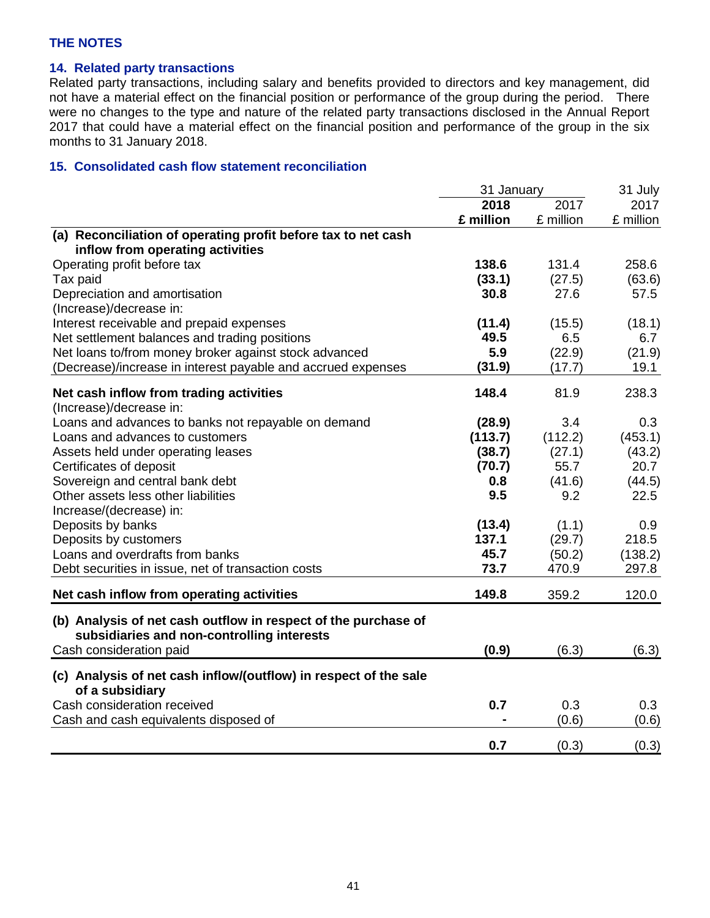## **14. Related party transactions**

Related party transactions, including salary and benefits provided to directors and key management, did not have a material effect on the financial position or performance of the group during the period. There were no changes to the type and nature of the related party transactions disclosed in the Annual Report 2017 that could have a material effect on the financial position and performance of the group in the six months to 31 January 2018.

## **15. Consolidated cash flow statement reconciliation**

|                                                                                     | 31 January |           | 31 July   |
|-------------------------------------------------------------------------------------|------------|-----------|-----------|
|                                                                                     | 2018       | 2017      | 2017      |
|                                                                                     | £ million  | £ million | £ million |
| (a) Reconciliation of operating profit before tax to net cash                       |            |           |           |
| inflow from operating activities                                                    |            |           |           |
| Operating profit before tax                                                         | 138.6      | 131.4     | 258.6     |
| Tax paid                                                                            | (33.1)     | (27.5)    | (63.6)    |
| Depreciation and amortisation                                                       | 30.8       | 27.6      | 57.5      |
| (Increase)/decrease in:                                                             |            |           |           |
| Interest receivable and prepaid expenses                                            | (11.4)     | (15.5)    | (18.1)    |
| Net settlement balances and trading positions                                       | 49.5       | 6.5       | 6.7       |
| Net loans to/from money broker against stock advanced                               | 5.9        | (22.9)    | (21.9)    |
| (Decrease)/increase in interest payable and accrued expenses                        | (31.9)     | (17.7)    | 19.1      |
|                                                                                     | 148.4      | 81.9      | 238.3     |
| Net cash inflow from trading activities<br>(Increase)/decrease in:                  |            |           |           |
| Loans and advances to banks not repayable on demand                                 |            | 3.4       | 0.3       |
| Loans and advances to customers                                                     | (28.9)     |           | (453.1)   |
|                                                                                     | (113.7)    | (112.2)   |           |
| Assets held under operating leases                                                  | (38.7)     | (27.1)    | (43.2)    |
| Certificates of deposit                                                             | (70.7)     | 55.7      | 20.7      |
| Sovereign and central bank debt                                                     | 0.8<br>9.5 | (41.6)    | (44.5)    |
| Other assets less other liabilities                                                 |            | 9.2       | 22.5      |
| Increase/(decrease) in:                                                             |            |           |           |
| Deposits by banks                                                                   | (13.4)     | (1.1)     | 0.9       |
| Deposits by customers                                                               | 137.1      | (29.7)    | 218.5     |
| Loans and overdrafts from banks                                                     | 45.7       | (50.2)    | (138.2)   |
| Debt securities in issue, net of transaction costs                                  | 73.7       | 470.9     | 297.8     |
| Net cash inflow from operating activities                                           | 149.8      | 359.2     | 120.0     |
| (b) Analysis of net cash outflow in respect of the purchase of                      |            |           |           |
| subsidiaries and non-controlling interests                                          |            |           |           |
| Cash consideration paid                                                             | (0.9)      | (6.3)     | (6.3)     |
|                                                                                     |            |           |           |
| (c) Analysis of net cash inflow/(outflow) in respect of the sale<br>of a subsidiary |            |           |           |
| Cash consideration received                                                         | 0.7        | 0.3       | 0.3       |
| Cash and cash equivalents disposed of                                               |            | (0.6)     | (0.6)     |
|                                                                                     |            |           |           |
|                                                                                     | 0.7        | (0.3)     | (0.3)     |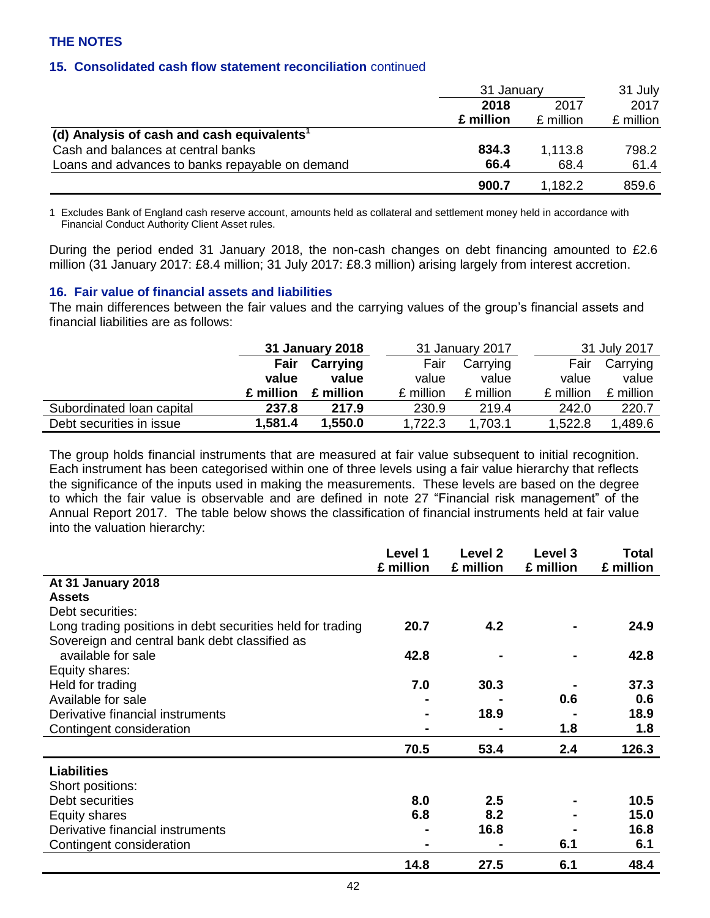### **15. Consolidated cash flow statement reconciliation** continued

|                                                        | 31 January   |           | 31 July   |
|--------------------------------------------------------|--------------|-----------|-----------|
|                                                        | 2018<br>2017 |           | 2017      |
|                                                        | £ million    | £ million | £ million |
| (d) Analysis of cash and cash equivalents <sup>1</sup> |              |           |           |
| Cash and balances at central banks                     | 834.3        | 1.113.8   | 798.2     |
| Loans and advances to banks repayable on demand        | 66.4         | 68.4      | 61.4      |
|                                                        | 900.7        | 1.182.2   | 859.6     |

1 Excludes Bank of England cash reserve account, amounts held as collateral and settlement money held in accordance with Financial Conduct Authority Client Asset rules.

During the period ended 31 January 2018, the non-cash changes on debt financing amounted to £2.6 million (31 January 2017: £8.4 million; 31 July 2017: £8.3 million) arising largely from interest accretion.

#### **16. Fair value of financial assets and liabilities**

The main differences between the fair values and the carrying values of the group's financial assets and financial liabilities are as follows:

|                           |           | 31 January 2018 |           | 31 January 2017 |           | 31 July 2017 |
|---------------------------|-----------|-----------------|-----------|-----------------|-----------|--------------|
|                           | Fair      | Carrying        | Fair      | Carrying        | Fair      | Carrying     |
|                           | value     | value           | value     | value           | value     | value        |
|                           | £ million | £ million       | £ million | £ million       | £ million | £ million    |
| Subordinated Ioan capital | 237.8     | 217.9           | 230.9     | 219.4           | 242.0     | 220.7        |
| Debt securities in issue  | 1,581.4   | 1,550.0         | 1,722.3   | 1,703.1         | 1,522.8   | 1,489.6      |

The group holds financial instruments that are measured at fair value subsequent to initial recognition. Each instrument has been categorised within one of three levels using a fair value hierarchy that reflects the significance of the inputs used in making the measurements. These levels are based on the degree to which the fair value is observable and are defined in note 27 "Financial risk management" of the Annual Report 2017. The table below shows the classification of financial instruments held at fair value into the valuation hierarchy:

|                                                            | Level 1<br>£ million | Level 2<br>£ million | Level 3<br>£ million | <b>Total</b><br>£ million |
|------------------------------------------------------------|----------------------|----------------------|----------------------|---------------------------|
| At 31 January 2018                                         |                      |                      |                      |                           |
| <b>Assets</b>                                              |                      |                      |                      |                           |
| Debt securities:                                           |                      |                      |                      |                           |
| Long trading positions in debt securities held for trading | 20.7                 | 4.2                  |                      | 24.9                      |
| Sovereign and central bank debt classified as              |                      |                      |                      |                           |
| available for sale                                         | 42.8                 |                      | $\blacksquare$       | 42.8                      |
| Equity shares:                                             |                      |                      |                      |                           |
| Held for trading                                           | 7.0                  | 30.3                 |                      | 37.3                      |
| Available for sale                                         |                      |                      | 0.6                  | 0.6                       |
| Derivative financial instruments                           | $\blacksquare$       | 18.9                 |                      | 18.9                      |
| Contingent consideration                                   | $\blacksquare$       |                      | 1.8                  | 1.8                       |
|                                                            | 70.5                 | 53.4                 | 2.4                  | 126.3                     |
| <b>Liabilities</b>                                         |                      |                      |                      |                           |
| Short positions:                                           |                      |                      |                      |                           |
| Debt securities                                            | 8.0                  | 2.5                  |                      | 10.5                      |
| Equity shares                                              | 6.8                  | 8.2                  |                      | 15.0                      |
| Derivative financial instruments                           | $\blacksquare$       | 16.8                 |                      | 16.8                      |
| Contingent consideration                                   | $\blacksquare$       |                      | 6.1                  | 6.1                       |
|                                                            | 14.8                 | 27.5                 | 6.1                  | 48.4                      |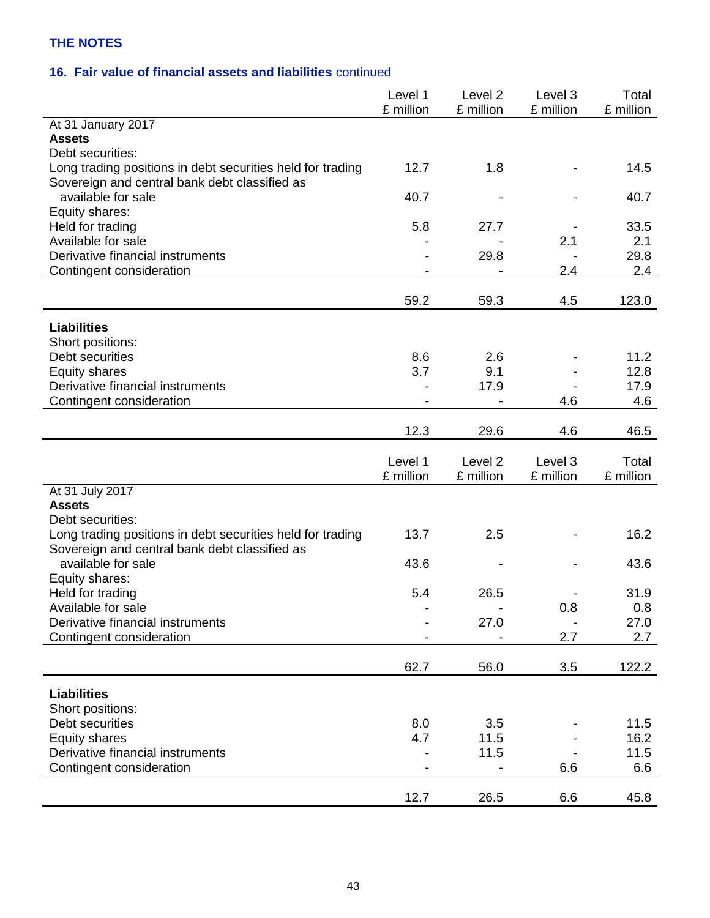## **16. Fair value of financial assets and liabilities** continued

|                                                                     | Level 1<br>£ million | Level <sub>2</sub><br>£ million | Level <sub>3</sub><br>£ million | Total<br>£ million |
|---------------------------------------------------------------------|----------------------|---------------------------------|---------------------------------|--------------------|
| At 31 January 2017                                                  |                      |                                 |                                 |                    |
| <b>Assets</b>                                                       |                      |                                 |                                 |                    |
| Debt securities:                                                    |                      |                                 |                                 |                    |
| Long trading positions in debt securities held for trading          | 12.7                 | 1.8                             |                                 | 14.5               |
| Sovereign and central bank debt classified as<br>available for sale | 40.7                 |                                 |                                 | 40.7               |
| Equity shares:                                                      |                      |                                 |                                 |                    |
| Held for trading                                                    | 5.8                  | 27.7                            |                                 | 33.5               |
| Available for sale                                                  |                      |                                 | 2.1                             | 2.1                |
| Derivative financial instruments                                    |                      | 29.8                            |                                 | 29.8               |
| Contingent consideration                                            |                      |                                 | 2.4                             | 2.4                |
|                                                                     |                      |                                 |                                 |                    |
|                                                                     | 59.2                 | 59.3                            | 4.5                             | 123.0              |
| <b>Liabilities</b>                                                  |                      |                                 |                                 |                    |
| Short positions:                                                    |                      |                                 |                                 |                    |
| Debt securities                                                     | 8.6                  | 2.6                             |                                 | 11.2               |
| <b>Equity shares</b>                                                | 3.7                  | 9.1                             |                                 | 12.8               |
| Derivative financial instruments                                    |                      | 17.9                            |                                 | 17.9               |
| Contingent consideration                                            |                      |                                 | 4.6                             | 4.6                |
|                                                                     | 12.3                 | 29.6                            | 4.6                             | 46.5               |
|                                                                     |                      |                                 |                                 |                    |
|                                                                     |                      |                                 |                                 |                    |
|                                                                     | Level 1              | Level <sub>2</sub>              | Level 3                         | Total              |
|                                                                     | £ million            | £ million                       | £ million                       | £ million          |
| At 31 July 2017                                                     |                      |                                 |                                 |                    |
| <b>Assets</b>                                                       |                      |                                 |                                 |                    |
| Debt securities:                                                    |                      |                                 |                                 |                    |
| Long trading positions in debt securities held for trading          | 13.7                 | 2.5                             |                                 | 16.2               |
| Sovereign and central bank debt classified as                       |                      |                                 |                                 |                    |
| available for sale                                                  | 43.6                 |                                 |                                 | 43.6               |
| Equity shares:                                                      |                      | 26.5                            |                                 |                    |
| Held for trading<br>Available for sale                              | 5.4                  |                                 | 0.8                             | 31.9<br>0.8        |
| Derivative financial instruments                                    |                      | 27.0                            |                                 | 27.0               |
| Contingent consideration                                            |                      |                                 | 2.7                             | 2.7                |
|                                                                     |                      |                                 |                                 |                    |
|                                                                     | 62.7                 | 56.0                            | 3.5                             | 122.2              |
| <b>Liabilities</b>                                                  |                      |                                 |                                 |                    |
| Short positions:                                                    |                      |                                 |                                 |                    |
| Debt securities                                                     | 8.0                  | 3.5                             |                                 | 11.5               |
| <b>Equity shares</b>                                                | 4.7                  | 11.5                            |                                 | 16.2               |
| Derivative financial instruments                                    |                      | 11.5                            |                                 | 11.5               |
| Contingent consideration                                            |                      |                                 | 6.6                             | 6.6                |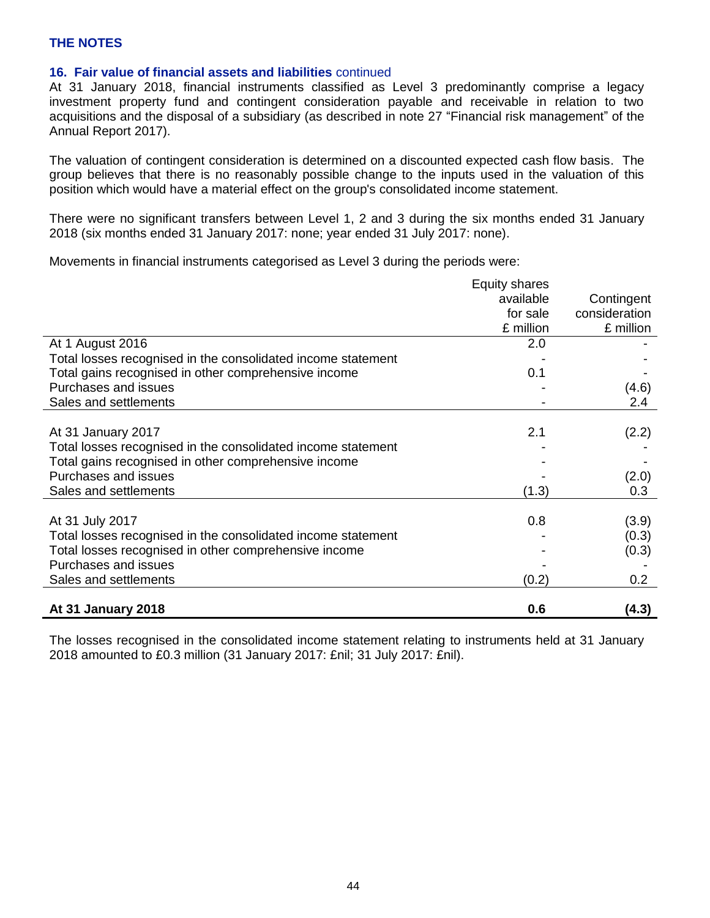#### **16. Fair value of financial assets and liabilities** continued

At 31 January 2018, financial instruments classified as Level 3 predominantly comprise a legacy investment property fund and contingent consideration payable and receivable in relation to two acquisitions and the disposal of a subsidiary (as described in note 27 "Financial risk management" of the Annual Report 2017).

The valuation of contingent consideration is determined on a discounted expected cash flow basis. The group believes that there is no reasonably possible change to the inputs used in the valuation of this position which would have a material effect on the group's consolidated income statement.

There were no significant transfers between Level 1, 2 and 3 during the six months ended 31 January 2018 (six months ended 31 January 2017: none; year ended 31 July 2017: none).

Movements in financial instruments categorised as Level 3 during the periods were:

|                                                              | <b>Equity shares</b> |               |
|--------------------------------------------------------------|----------------------|---------------|
|                                                              | available            | Contingent    |
|                                                              | for sale             | consideration |
|                                                              | £ million            | £ million     |
| At 1 August 2016                                             | 2.0                  |               |
| Total losses recognised in the consolidated income statement |                      |               |
| Total gains recognised in other comprehensive income         | 0.1                  |               |
| Purchases and issues                                         |                      | (4.6)         |
| Sales and settlements                                        |                      | 2.4           |
|                                                              |                      |               |
| At 31 January 2017                                           | 2.1                  | (2.2)         |
| Total losses recognised in the consolidated income statement |                      |               |
| Total gains recognised in other comprehensive income         |                      |               |
| Purchases and issues                                         |                      | (2.0)         |
| Sales and settlements                                        | (1.3)                | 0.3           |
|                                                              |                      |               |
| At 31 July 2017                                              | 0.8                  | (3.9)         |
| Total losses recognised in the consolidated income statement |                      | (0.3)         |
| Total losses recognised in other comprehensive income        |                      | (0.3)         |
| Purchases and issues                                         |                      |               |
| Sales and settlements                                        | (0.2)                | 0.2           |
|                                                              |                      |               |
| At 31 January 2018                                           | 0.6                  | (4.3)         |

The losses recognised in the consolidated income statement relating to instruments held at 31 January 2018 amounted to £0.3 million (31 January 2017: £nil; 31 July 2017: £nil).